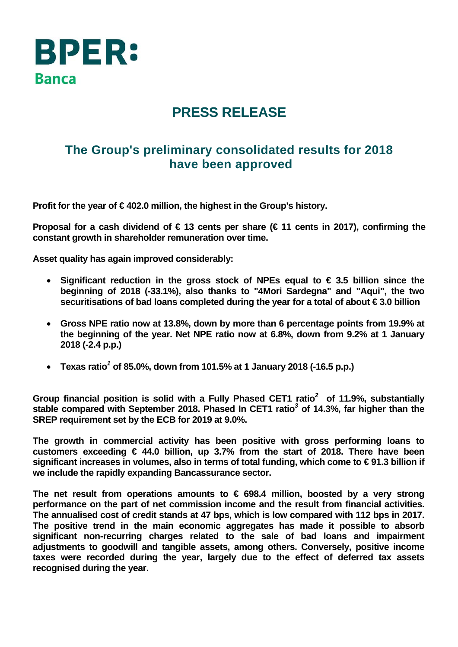

## **PRESS RELEASE**

## **The Group's preliminary consolidated results for 2018 have been approved**

**Profit for the year of € 402.0 million, the highest in the Group's history.** 

**Proposal for a cash dividend of € 13 cents per share (€ 11 cents in 2017), confirming the constant growth in shareholder remuneration over time.** 

**Asset quality has again improved considerably:** 

- **Significant reduction in the gross stock of NPEs equal to € 3.5 billion since the beginning of 2018 (-33.1%), also thanks to "4Mori Sardegna" and "Aqui", the two securitisations of bad loans completed during the year for a total of about € 3.0 billion**
- **Gross NPE ratio now at 13.8%, down by more than 6 percentage points from 19.9% at the beginning of the year. Net NPE ratio now at 6.8%, down from 9.2% at 1 January 2018 (-2.4 p.p.)**
- **Texas ratio***<sup>1</sup>*  **of 85.0%, down from 101.5% at 1 January 2018 (-16.5 p.p.)**

**Group financial position is solid with a Fully Phased CET1 ratio***<sup>2</sup>*  **of 11.9%, substantially stable compared with September 2018. Phased In CET1 ratio***<sup>3</sup>*  **of 14.3%, far higher than the SREP requirement set by the ECB for 2019 at 9.0%.** 

**The growth in commercial activity has been positive with gross performing loans to customers exceeding € 44.0 billion, up 3.7% from the start of 2018. There have been significant increases in volumes, also in terms of total funding, which come to € 91.3 billion if we include the rapidly expanding Bancassurance sector.** 

**The net result from operations amounts to € 698.4 million, boosted by a very strong performance on the part of net commission income and the result from financial activities. The annualised cost of credit stands at 47 bps, which is low compared with 112 bps in 2017. The positive trend in the main economic aggregates has made it possible to absorb significant non-recurring charges related to the sale of bad loans and impairment adjustments to goodwill and tangible assets, among others. Conversely, positive income taxes were recorded during the year, largely due to the effect of deferred tax assets recognised during the year.**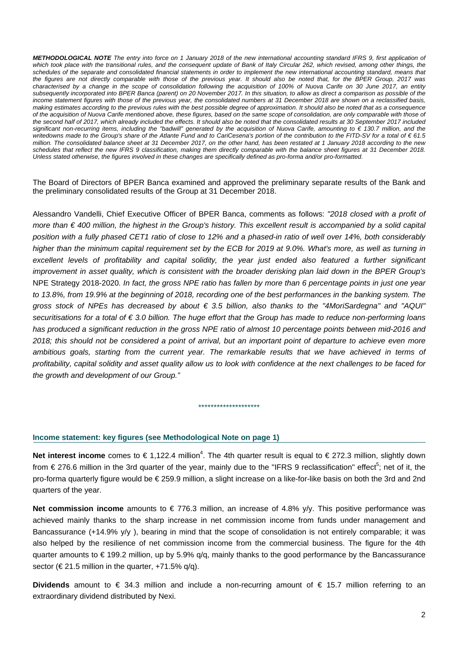*METHODOLOGICAL NOTE The entry into force on 1 January 2018 of the new international accounting standard IFRS 9, first application of*  which took place with the transitional rules, and the consequent update of Bank of Italy Circular 262, which revised, among other things, the *schedules of the separate and consolidated financial statements in order to implement the new international accounting standard, means that the figures are not directly comparable with those of the previous year. It should also be noted that, for the BPER Group, 2017 was characterised by a change in the scope of consolidation following the acquisition of 100% of Nuova Carife on 30 June 2017, an entity subsequently incorporated into BPER Banca (parent) on 20 November 2017. In this situation, to allow as direct a comparison as possible of the income statement figures with those of the previous year, the consolidated numbers at 31 December 2018 are shown on a reclassified basis, making estimates according to the previous rules with the best possible degree of approximation. It should also be noted that as a consequence of the acquisition of Nuova Carife mentioned above, these figures, based on the same scope of consolidation, are only comparable with those of the second half of 2017, which already included the effects. It should also be noted that the consolidated results at 30 September 2017 included significant non-recurring items, including the "badwill" generated by the acquisition of Nuova Carife, amounting to € 130.7 million, and the writedowns made to the Group's share of the Atlante Fund and to CariCesena's portion of the contribution to the FITD-SV for a total of € 61.5 million. The consolidated balance sheet at 31 December 2017, on the other hand, has been restated at 1 January 2018 according to the new schedules that reflect the new IFRS 9 classification, making them directly comparable with the balance sheet figures at 31 December 2018. Unless stated otherwise, the figures involved in these changes are specifically defined as pro-forma and/or pro-formatted.* 

The Board of Directors of BPER Banca examined and approved the preliminary separate results of the Bank and the preliminary consolidated results of the Group at 31 December 2018.

Alessandro Vandelli, Chief Executive Officer of BPER Banca, comments as follows: *"2018 closed with a profit of more than € 400 million, the highest in the Group's history. This excellent result is accompanied by a solid capital position with a fully phased CET1 ratio of close to 12% and a phased-in ratio of well over 14%, both considerably higher than the minimum capital requirement set by the ECB for 2019 at 9.0%. What's more, as well as turning in*  excellent levels of profitability and capital solidity, the year just ended also featured a further significant *improvement in asset quality, which is consistent with the broader derisking plan laid down in the BPER Group's*  NPE Strategy 2018-2020*. In fact, the gross NPE ratio has fallen by more than 6 percentage points in just one year*  to 13.8%, from 19.9% at the beginning of 2018, recording one of the best performances in the banking system. The *gross stock of NPEs has decreased by about € 3.5 billion, also thanks to the "4MoriSardegna" and "AQUI" securitisations for a total of € 3.0 billion. The huge effort that the Group has made to reduce non-performing loans has produced a significant reduction in the gross NPE ratio of almost 10 percentage points between mid-2016 and 2018; this should not be considered a point of arrival, but an important point of departure to achieve even more ambitious goals, starting from the current year. The remarkable results that we have achieved in terms of profitability, capital solidity and asset quality allow us to look with confidence at the next challenges to be faced for the growth and development of our Group."* 

#### **Income statement: key figures (see Methodological Note on page 1)**

Net interest income comes to €1,122.4 million<sup>4</sup>. The 4th quarter result is equal to €272.3 million, slightly down from  $\in$  276.6 million in the 3rd quarter of the year, mainly due to the "IFRS 9 reclassification" effect<sup>5</sup>; net of it, the pro-forma quarterly figure would be € 259.9 million, a slight increase on a like-for-like basis on both the 3rd and 2nd quarters of the year.

\*\*\*\*\*\*\*\*\*\*\*\*\*\*\*\*\*\*\*\*

**Net commission income** amounts to € 776.3 million, an increase of 4.8% y/y. This positive performance was achieved mainly thanks to the sharp increase in net commission income from funds under management and Bancassurance (+14.9% y/y ), bearing in mind that the scope of consolidation is not entirely comparable; it was also helped by the resilience of net commission income from the commercial business. The figure for the 4th quarter amounts to € 199.2 million, up by 5.9% q/q, mainly thanks to the good performance by the Bancassurance sector ( $\in$  21.5 million in the quarter, +71.5% q/q).

**Dividends** amount to € 34.3 million and include a non-recurring amount of € 15.7 million referring to an extraordinary dividend distributed by Nexi.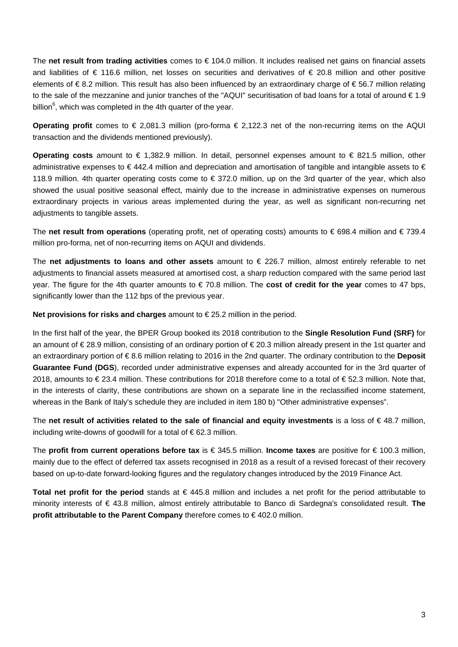The **net result from trading activities** comes to € 104.0 million. It includes realised net gains on financial assets and liabilities of € 116.6 million, net losses on securities and derivatives of € 20.8 million and other positive elements of € 8.2 million. This result has also been influenced by an extraordinary charge of € 56.7 million relating to the sale of the mezzanine and junior tranches of the "AQUI" securitisation of bad loans for a total of around € 1.9 billion $^6$ , which was completed in the 4th quarter of the year.

**Operating profit** comes to € 2,081.3 million (pro-forma € 2,122.3 net of the non-recurring items on the AQUI transaction and the dividends mentioned previously).

**Operating costs** amount to € 1,382.9 million. In detail, personnel expenses amount to € 821.5 million, other administrative expenses to  $\in$  442.4 million and depreciation and amortisation of tangible and intangible assets to  $\in$ 118.9 million. 4th quarter operating costs come to € 372.0 million, up on the 3rd quarter of the year, which also showed the usual positive seasonal effect, mainly due to the increase in administrative expenses on numerous extraordinary projects in various areas implemented during the year, as well as significant non-recurring net adjustments to tangible assets.

The **net result from operations** (operating profit, net of operating costs) amounts to € 698.4 million and € 739.4 million pro-forma, net of non-recurring items on AQUI and dividends.

The **net adjustments to loans and other assets** amount to € 226.7 million, almost entirely referable to net adjustments to financial assets measured at amortised cost, a sharp reduction compared with the same period last year. The figure for the 4th quarter amounts to € 70.8 million. The **cost of credit for the year** comes to 47 bps, significantly lower than the 112 bps of the previous year.

**Net provisions for risks and charges** amount to € 25.2 million in the period.

In the first half of the year, the BPER Group booked its 2018 contribution to the **Single Resolution Fund (SRF)** for an amount of € 28.9 million, consisting of an ordinary portion of € 20.3 million already present in the 1st quarter and an extraordinary portion of € 8.6 million relating to 2016 in the 2nd quarter. The ordinary contribution to the **Deposit Guarantee Fund (DGS**), recorded under administrative expenses and already accounted for in the 3rd quarter of 2018, amounts to € 23.4 million. These contributions for 2018 therefore come to a total of € 52.3 million. Note that, in the interests of clarity, these contributions are shown on a separate line in the reclassified income statement, whereas in the Bank of Italy's schedule they are included in item 180 b) "Other administrative expenses".

The **net result of activities related to the sale of financial and equity investments** is a loss of € 48.7 million, including write-downs of goodwill for a total of € 62.3 million.

The **profit from current operations before tax** is € 345.5 million. **Income taxes** are positive for € 100.3 million, mainly due to the effect of deferred tax assets recognised in 2018 as a result of a revised forecast of their recovery based on up-to-date forward-looking figures and the regulatory changes introduced by the 2019 Finance Act.

**Total net profit for the period** stands at € 445.8 million and includes a net profit for the period attributable to minority interests of € 43.8 million, almost entirely attributable to Banco di Sardegna's consolidated result. **The profit attributable to the Parent Company** therefore comes to € 402.0 million.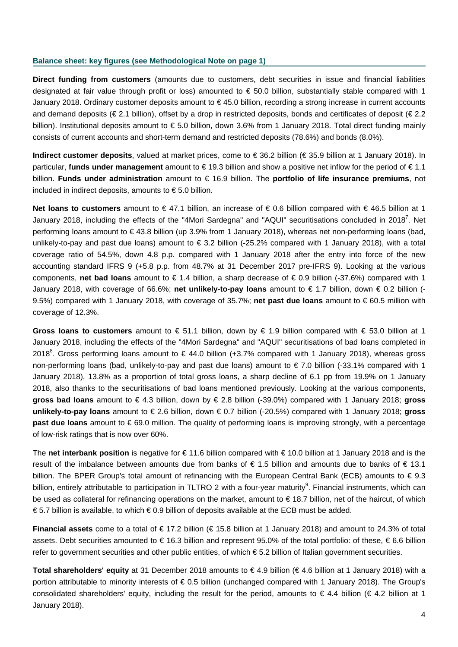#### **Balance sheet: key figures (see Methodological Note on page 1)**

**Direct funding from customers** (amounts due to customers, debt securities in issue and financial liabilities designated at fair value through profit or loss) amounted to  $\epsilon$  50.0 billion, substantially stable compared with 1 January 2018. Ordinary customer deposits amount to € 45.0 billion, recording a strong increase in current accounts and demand deposits (€ 2.1 billion), offset by a drop in restricted deposits, bonds and certificates of deposit (€ 2.2 billion). Institutional deposits amount to € 5.0 billion, down 3.6% from 1 January 2018. Total direct funding mainly consists of current accounts and short-term demand and restricted deposits (78.6%) and bonds (8.0%).

**Indirect customer deposits**, valued at market prices, come to € 36.2 billion (€ 35.9 billion at 1 January 2018). In particular, **funds under management** amount to € 19.3 billion and show a positive net inflow for the period of € 1.1 billion. **Funds under administration** amount to € 16.9 billion. The **portfolio of life insurance premiums**, not included in indirect deposits, amounts to € 5.0 billion.

**Net loans to customers** amount to € 47.1 billion, an increase of € 0.6 billion compared with € 46.5 billion at 1 January 2018, including the effects of the "4Mori Sardegna" and "AQUI" securitisations concluded in 2018<sup>7</sup>. Net performing loans amount to € 43.8 billion (up 3.9% from 1 January 2018), whereas net non-performing loans (bad, unlikely-to-pay and past due loans) amount to € 3.2 billion (-25.2% compared with 1 January 2018), with a total coverage ratio of 54.5%, down 4.8 p.p. compared with 1 January 2018 after the entry into force of the new accounting standard IFRS 9 (+5.8 p.p. from 48.7% at 31 December 2017 pre-IFRS 9). Looking at the various components, **net bad loans** amount to € 1.4 billion, a sharp decrease of € 0.9 billion (-37.6%) compared with 1 January 2018, with coverage of 66.6%; **net unlikely-to-pay loans** amount to € 1.7 billion, down € 0.2 billion (- 9.5%) compared with 1 January 2018, with coverage of 35.7%; **net past due loans** amount to € 60.5 million with coverage of 12.3%.

**Gross loans to customers** amount to € 51.1 billion, down by € 1.9 billion compared with € 53.0 billion at 1 January 2018, including the effects of the "4Mori Sardegna" and "AQUI" securitisations of bad loans completed in 2018<sup>8</sup>. Gross performing loans amount to  $\epsilon$  44.0 billion (+3.7% compared with 1 January 2018), whereas gross non-performing loans (bad, unlikely-to-pay and past due loans) amount to € 7.0 billion (-33.1% compared with 1 January 2018), 13.8% as a proportion of total gross loans, a sharp decline of 6.1 pp from 19.9% on 1 January 2018, also thanks to the securitisations of bad loans mentioned previously. Looking at the various components, **gross bad loans** amount to € 4.3 billion, down by € 2.8 billion (-39.0%) compared with 1 January 2018; **gross unlikely-to-pay loans** amount to € 2.6 billion, down € 0.7 billion (-20.5%) compared with 1 January 2018; **gross past due loans** amount to €69.0 million. The quality of performing loans is improving strongly, with a percentage of low-risk ratings that is now over 60%.

The **net interbank position** is negative for € 11.6 billion compared with € 10.0 billion at 1 January 2018 and is the result of the imbalance between amounts due from banks of € 1.5 billion and amounts due to banks of € 13.1 billion. The BPER Group's total amount of refinancing with the European Central Bank (ECB) amounts to € 9.3 billion, entirely attributable to participation in TLTRO 2 with a four-year maturity<sup>9</sup>. Financial instruments, which can be used as collateral for refinancing operations on the market, amount to € 18.7 billion, net of the haircut, of which € 5.7 billion is available, to which € 0.9 billion of deposits available at the ECB must be added.

**Financial assets** come to a total of € 17.2 billion (€ 15.8 billion at 1 January 2018) and amount to 24.3% of total assets. Debt securities amounted to € 16.3 billion and represent 95.0% of the total portfolio: of these, € 6.6 billion refer to government securities and other public entities, of which €5.2 billion of Italian government securities.

**Total shareholders' equity** at 31 December 2018 amounts to € 4.9 billion (€ 4.6 billion at 1 January 2018) with a portion attributable to minority interests of € 0.5 billion (unchanged compared with 1 January 2018). The Group's consolidated shareholders' equity, including the result for the period, amounts to  $\epsilon$  4.4 billion ( $\epsilon$  4.2 billion at 1 January 2018).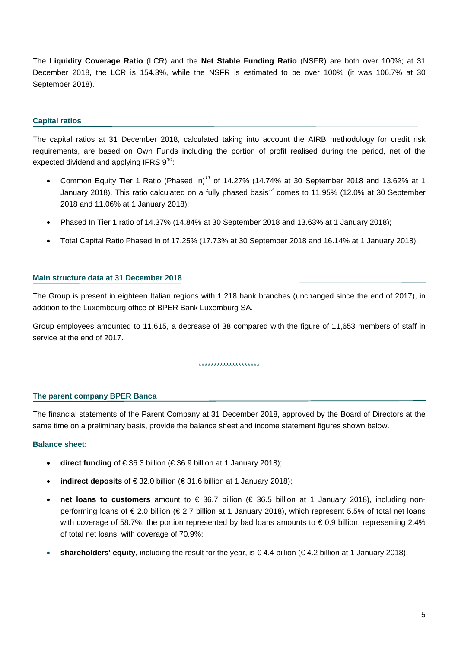The **Liquidity Coverage Ratio** (LCR) and the **Net Stable Funding Ratio** (NSFR) are both over 100%; at 31 December 2018, the LCR is 154.3%, while the NSFR is estimated to be over 100% (it was 106.7% at 30 September 2018).

#### **Capital ratios**

The capital ratios at 31 December 2018, calculated taking into account the AIRB methodology for credit risk requirements, are based on Own Funds including the portion of profit realised during the period, net of the expected dividend and applying IFRS  $9^{10}$ .

- Common Equity Tier 1 Ratio (Phased In)*<sup>11</sup>* of 14.27% (14.74% at 30 September 2018 and 13.62% at 1 January 2018). This ratio calculated on a fully phased basis*<sup>12</sup>* comes to 11.95% (12.0% at 30 September 2018 and 11.06% at 1 January 2018);
- Phased In Tier 1 ratio of 14.37% (14.84% at 30 September 2018 and 13.63% at 1 January 2018);
- Total Capital Ratio Phased In of 17.25% (17.73% at 30 September 2018 and 16.14% at 1 January 2018).

#### **Main structure data at 31 December 2018**

The Group is present in eighteen Italian regions with 1,218 bank branches (unchanged since the end of 2017), in addition to the Luxembourg office of BPER Bank Luxemburg SA.

Group employees amounted to 11,615, a decrease of 38 compared with the figure of 11,653 members of staff in service at the end of 2017.

\*\*\*\*\*\*\*\*\*\*\*\*\*\*\*\*\*\*\*\*

#### **The parent company BPER Banca**

The financial statements of the Parent Company at 31 December 2018, approved by the Board of Directors at the same time on a preliminary basis, provide the balance sheet and income statement figures shown below.

#### **Balance sheet:**

- **direct funding** of € 36.3 billion (€ 36.9 billion at 1 January 2018);
- **indirect deposits** of € 32.0 billion (€ 31.6 billion at 1 January 2018);
- **net loans to customers** amount to € 36.7 billion (€ 36.5 billion at 1 January 2018), including nonperforming loans of € 2.0 billion (€ 2.7 billion at 1 January 2018), which represent 5.5% of total net loans with coverage of 58.7%; the portion represented by bad loans amounts to  $\epsilon$  0.9 billion, representing 2.4% of total net loans, with coverage of 70.9%;
- shareholders' equity, including the result for the year, is €4.4 billion (€4.2 billion at 1 January 2018).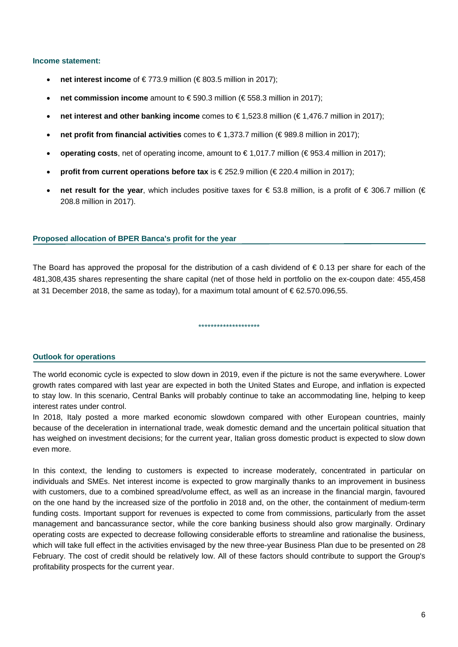#### **Income statement:**

- **net interest income** of € 773.9 million (€ 803.5 million in 2017);
- **net commission income** amount to € 590.3 million (€ 558.3 million in 2017);
- **net interest and other banking income** comes to € 1,523.8 million (€ 1,476.7 million in 2017);
- **net profit from financial activities** comes to € 1,373.7 million (€ 989.8 million in 2017);
- **operating costs**, net of operating income, amount to €1,017.7 million (€953.4 million in 2017);
- **profit from current operations before tax** is €252.9 million (€220.4 million in 2017);
- **net result for the year**, which includes positive taxes for € 53.8 million, is a profit of € 306.7 million (€ 208.8 million in 2017).

#### **Proposed allocation of BPER Banca's profit for the year**

The Board has approved the proposal for the distribution of a cash dividend of  $\epsilon$  0.13 per share for each of the 481,308,435 shares representing the share capital (net of those held in portfolio on the ex-coupon date: 455,458 at 31 December 2018, the same as today), for a maximum total amount of  $\epsilon$  62.570.096.55.

\*\*\*\*\*\*\*\*\*\*\*\*\*\*\*\*\*\*\*\*

#### **Outlook for operations**

The world economic cycle is expected to slow down in 2019, even if the picture is not the same everywhere. Lower growth rates compared with last year are expected in both the United States and Europe, and inflation is expected to stay low. In this scenario, Central Banks will probably continue to take an accommodating line, helping to keep interest rates under control.

In 2018, Italy posted a more marked economic slowdown compared with other European countries, mainly because of the deceleration in international trade, weak domestic demand and the uncertain political situation that has weighed on investment decisions; for the current year, Italian gross domestic product is expected to slow down even more.

In this context, the lending to customers is expected to increase moderately, concentrated in particular on individuals and SMEs. Net interest income is expected to grow marginally thanks to an improvement in business with customers, due to a combined spread/volume effect, as well as an increase in the financial margin, favoured on the one hand by the increased size of the portfolio in 2018 and, on the other, the containment of medium-term funding costs. Important support for revenues is expected to come from commissions, particularly from the asset management and bancassurance sector, while the core banking business should also grow marginally. Ordinary operating costs are expected to decrease following considerable efforts to streamline and rationalise the business, which will take full effect in the activities envisaged by the new three-year Business Plan due to be presented on 28 February. The cost of credit should be relatively low. All of these factors should contribute to support the Group's profitability prospects for the current year.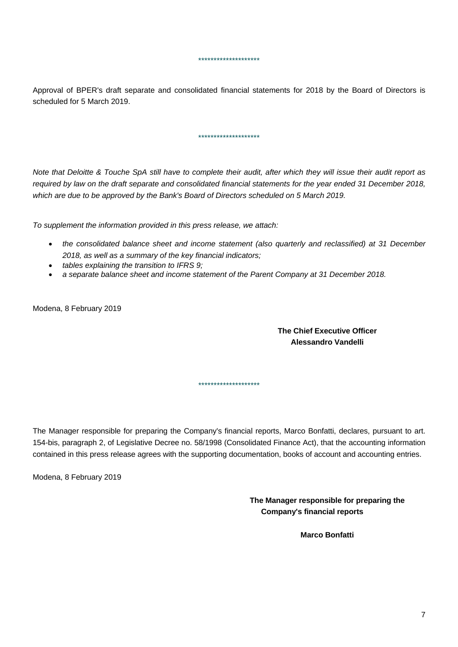Approval of BPER's draft separate and consolidated financial statements for 2018 by the Board of Directors is scheduled for 5 March 2019.

\*\*\*\*\*\*\*\*\*\*\*\*\*\*\*\*\*\*\*\*

\*\*\*\*\*\*\*\*\*\*\*\*\*\*\*\*\*\*\*\*

*Note that Deloitte & Touche SpA still have to complete their audit, after which they will issue their audit report as*  required by law on the draft separate and consolidated financial statements for the year ended 31 December 2018, *which are due to be approved by the Bank's Board of Directors scheduled on 5 March 2019.* 

*To supplement the information provided in this press release, we attach:* 

- *the consolidated balance sheet and income statement (also quarterly and reclassified) at 31 December 2018, as well as a summary of the key financial indicators;*
- *tables explaining the transition to IFRS 9;*
- *a separate balance sheet and income statement of the Parent Company at 31 December 2018.*

Modena, 8 February 2019

**The Chief Executive Officer Alessandro Vandelli** 

The Manager responsible for preparing the Company's financial reports, Marco Bonfatti, declares, pursuant to art. 154-bis, paragraph 2, of Legislative Decree no. 58/1998 (Consolidated Finance Act), that the accounting information contained in this press release agrees with the supporting documentation, books of account and accounting entries.

\*\*\*\*\*\*\*\*\*\*\*\*\*\*\*\*\*\*\*\*

Modena, 8 February 2019

**The Manager responsible for preparing the Company's financial reports** 

**Marco Bonfatti**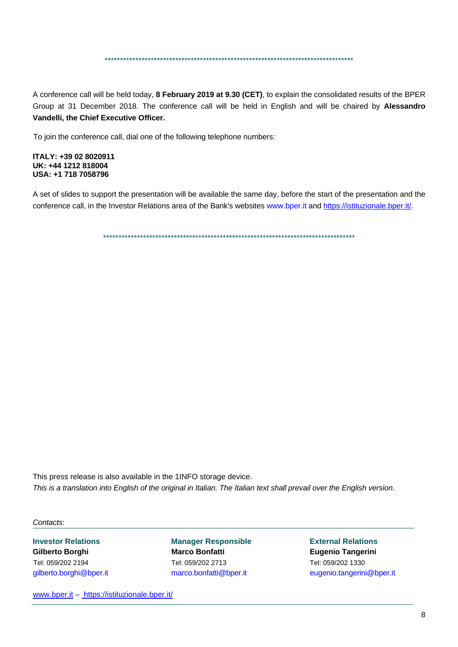\*\*\*\*\*\*\*\*\*\*\*\*\*\*\*\*\*\*\*\*\*\*\*\*\*\*\*\*\*\*\*\*\*\*\*\*\*\*\*\*\*\*\*\*\*\*\*\*\*\*\*\*\*\*\*\*\*\*\*\*\*\*\*\*\*\*\*\*\*\*\*\*\*\*\*\*\*\*\*\*\*

A conference call will be held today, **8 February 2019 at 9.30 (CET)**, to explain the consolidated results of the BPER Group at 31 December 2018. The conference call will be held in English and will be chaired by **Alessandro Vandelli, the Chief Executive Officer.** 

To join the conference call, dial one of the following telephone numbers:

**ITALY: +39 02 8020911 UK: +44 1212 818004 USA: +1 718 7058796** 

A set of slides to support the presentation will be available the same day, before the start of the presentation and the conference call, in the Investor Relations area of the Bank's websites www.bper.it and https://istituzionale.bper.it/.

\*\*\*\*\*\*\*\*\*\*\*\*\*\*\*\*\*\*\*\*\*\*\*\*\*\*\*\*\*\*\*\*\*\*\*\*\*\*\*\*\*\*\*\*\*\*\*\*\*\*\*\*\*\*\*\*\*\*\*\*\*\*\*\*\*\*\*\*\*\*\*\*\*\*\*\*\*\*\*\*\*\*

This press release is also available in the 1INFO storage device. *This is a translation into English of the original in Italian. The Italian text shall prevail over the English version.* 

*Contacts*:

**Investor Relations Manager Responsible External Relations Gilberto Borghi Marco Bonfatti Eugenio Tangerini**  Tel: 059/202 2194 Tel: 059/202 2713 Tel: 059/202 1330

gilberto.borghi@bper.it marco.bonfatti@bper.it eugenio.tangerini@bper.it

www.bper.it – https://istituzionale.bper.it/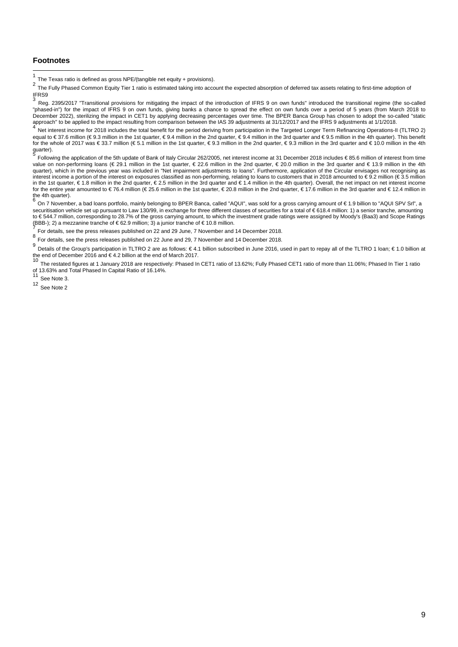#### **Footnotes**

l

Net interest income for 2018 includes the total benefit for the period deriving from participation in the Targeted Longer Term Refinancing Operations-II (TLTRO 2) equal to € 37.6 million (€ 9.3 million in the 1st quarter, € 9.4 million in the 2nd quarter, € 9.4 million in the 3rd quarter and € 9.5 million in the 4th quarter). This benefit for the whole of 2017 was € 33.7 million (€ 5.1 million in the 1st quarter, € 9.3 million in the 2nd quarter, € 9.3 million in the 3rd quarter and € 10.0 million in the 4th guarter).

<sup>5</sup> Following the application of the 5th update of Bank of Italy Circular 262/2005, net interest income at 31 December 2018 includes € 85.6 million of interest from time value on non-performing loans (€ 29.1 million in the 1st quarter, € 22.6 million in the 2nd quarter, € 20.0 million in the 3rd quarter and € 13.9 million in the 4th quarter), which in the previous year was included in "Net impairment adjustments to loans". Furthermore, application of the Circular envisages not recognising as interest income a portion of the interest on exposures classified as non-performing, relating to loans to customers that in 2018 amounted to € 9.2 million (€ 3.5 million in the 1st quarter, € 1.8 million in the 2nd quarter, € 2.5 million in the 3rd quarter and € 1.4 million in the 4th quarter). Overall, the net impact on net interest income for the entire year amounted to € 76.4 million (€ 25.6 million in the 1st quarter, € 20.8 million in the 2nd quarter, € 17.6 million in the 3rd quarter and € 12.4 million in the 4th quarter).

On 7 November, a bad loans portfolio, mainly belonging to BPER Banca, called "AQUI", was sold for a gross carrying amount of €1.9 billion to "AQUI SPV Srl", a securitisation vehicle set up pursuant to Law 130/99, in exchange for three different classes of securities for a total of €618.4 million: 1) a senior tranche, amounting to €544.7 million, corresponding to 28.7% of the gross carrying amount, to which the investment grade ratings were assigned by Moody's (Baa3) and Scope Ratings<br>(BBB-); 2) a mezzanine tranche of €62.9 million; 3) a junior

For details, see the press releases published on 22 and 29 June, 7 November and 14 December 2018.

8 For details, see the press releases published on 22 June and 29, 7 November and 14 December 2018.

<sup>9</sup> Details of the Group's participation in TLTRO 2 are as follows: €4.1 billion subscribed in June 2016, used in part to repay all of the TLTRO 1 loan; €1.0 billion at the end of December 2016 and  $\in$  4.2 billion at the end of March 2017.<br>10

<sup>10</sup> The restated figures at 1 January 2018 are respectively: Phased In CET1 ratio of 13.62%; Fully Phased CET1 ratio of more than 11.06%; Phased In Tier 1 ratio of 13.63% and Total Phased In Capital Ratio of 16.14%.<br>of 13.63% and Total Phased In Capital Ratio of 16.14%.

See Note 3.

<sup>12</sup> See Note 2

The Texas ratio is defined as gross NPE/(tangible net equity + provisions).

The Texas Tano is defined as gross in Equity Tier 1 ratio is estimated taking into account the expected absorption of deferred tax assets relating to first-time adoption of  $2$  The Fully Phased Common Equity Tier 1 ratio i IFRS9

<sup>3</sup> Reg. 2395/2017 "Transitional provisions for mitigating the impact of the introduction of IFRS 9 on own funds" introduced the transitional regime (the so-called "phased-in") for the impact of IFRS 9 on own funds, giving banks a chance to spread the effect on own funds over a period of 5 years (from March 2018 to December 2022), sterilizing the impact in CET1 by applying decreasing percentages over time. The BPER Banca Group has chosen to adopt the so-called "static approach" to be applied to the impact resulting from comparison between the IAS 39 adjustments at 31/12/2017 and the IFRS 9 adjustments at 1/1/2018.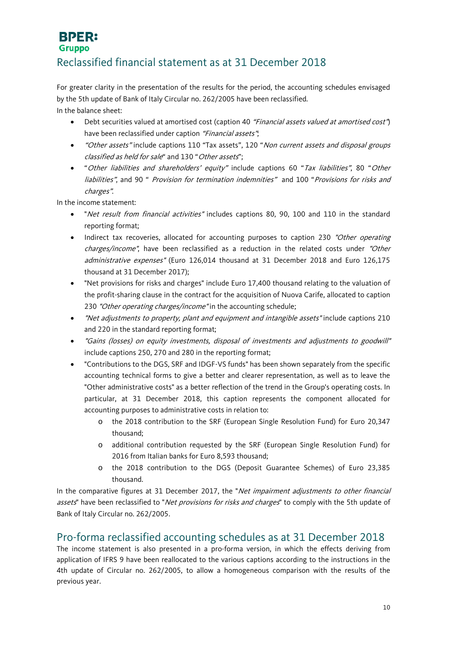#### **BPER: Gruppo**

### Reclassified financial statement as at 31 December 2018

For greater clarity in the presentation of the results for the period, the accounting schedules envisaged by the 5th update of Bank of Italy Circular no. 262/2005 have been reclassified. In the balance sheet:

- Debt securities valued at amortised cost (caption 40 "Financial assets valued at amortised cost") have been reclassified under caption "Financial assets".
- "Other assets" include captions 110 "Tax assets", 120 "Non current assets and disposal groups classified as held for sale" and 130 "Other assets";
- "Other liabilities and shareholders' equity" include captions 60 "Tax liabilities", 80 "Other liabilities", and 90 " Provision for termination indemnities" and 100 "Provisions for risks and charges".

In the income statement:

- "Net result from financial activities" includes captions 80, 90, 100 and 110 in the standard reporting format;
- Indirect tax recoveries, allocated for accounting purposes to caption 230 "Other operating charges/income", have been reclassified as a reduction in the related costs under "Other administrative expenses" (Euro 126,014 thousand at 31 December 2018 and Euro 126,175 thousand at 31 December 2017);
- "Net provisions for risks and charges" include Euro 17,400 thousand relating to the valuation of the profit-sharing clause in the contract for the acquisition of Nuova Carife, allocated to caption 230 "Other operating charges/income" in the accounting schedule;
- "Net adjustments to property, plant and equipment and intangible assets" include captions 210 and 220 in the standard reporting format;
- "Gains (losses) on equity investments, disposal of investments and adjustments to goodwill" include captions 250, 270 and 280 in the reporting format;
- "Contributions to the DGS, SRF and IDGF-VS funds" has been shown separately from the specific accounting technical forms to give a better and clearer representation, as well as to leave the "Other administrative costs" as a better reflection of the trend in the Group's operating costs. In particular, at 31 December 2018, this caption represents the component allocated for accounting purposes to administrative costs in relation to:
	- o the 2018 contribution to the SRF (European Single Resolution Fund) for Euro 20,347 thousand;
	- o additional contribution requested by the SRF (European Single Resolution Fund) for 2016 from Italian banks for Euro 8,593 thousand;
	- o the 2018 contribution to the DGS (Deposit Guarantee Schemes) of Euro 23,385 thousand.

In the comparative figures at 31 December 2017, the "Net impairment adjustments to other financial assets" have been reclassified to "Net provisions for risks and charges" to comply with the 5th update of Bank of Italy Circular no. 262/2005.

### <span id="page-9-0"></span>Pro-forma reclassified accounting schedules as at 31 December 2018

The income statement is also presented in a pro-forma version, in which the effects deriving from application of IFRS 9 have been reallocated to the various captions according to the instructions in the 4th update of Circular no. 262/2005, to allow a homogeneous comparison with the results of the previous year.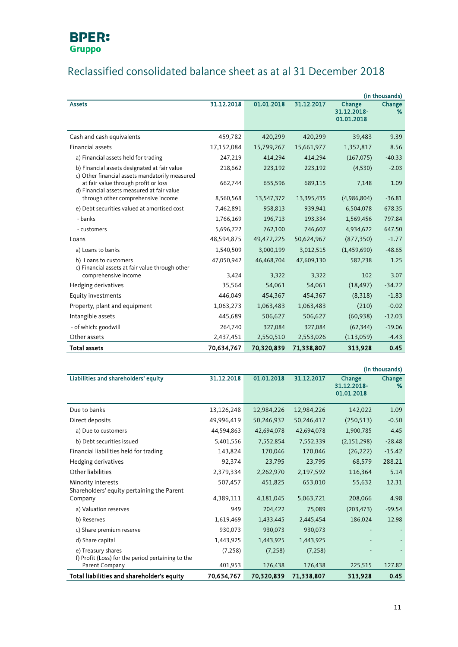

## Reclassified consolidated balance sheet as at al 31 December 2018

|                                                                                                |            |            |            |                                     | (in thousands) |
|------------------------------------------------------------------------------------------------|------------|------------|------------|-------------------------------------|----------------|
| <b>Assets</b>                                                                                  | 31.12.2018 | 01.01.2018 | 31.12.2017 | Change<br>31.12.2018-<br>01.01.2018 | Change<br>%    |
| Cash and cash equivalents                                                                      | 459,782    | 420,299    | 420,299    | 39,483                              | 9.39           |
| Financial assets                                                                               | 17,152,084 | 15,799,267 | 15,661,977 | 1,352,817                           | 8.56           |
| a) Financial assets held for trading                                                           | 247,219    | 414,294    | 414,294    | (167, 075)                          | $-40.33$       |
| b) Financial assets designated at fair value<br>c) Other financial assets mandatorily measured | 218,662    | 223,192    | 223,192    | (4,530)                             | $-2.03$        |
| at fair value through profit or loss<br>d) Financial assets measured at fair value             | 662,744    | 655,596    | 689,115    | 7,148                               | 1.09           |
| through other comprehensive income                                                             | 8,560,568  | 13,547,372 | 13,395,435 | (4,986,804)                         | $-36.81$       |
| e) Debt securities valued at amortised cost                                                    | 7,462,891  | 958,813    | 939,941    | 6,504,078                           | 678.35         |
| - banks                                                                                        | 1,766,169  | 196,713    | 193,334    | 1,569,456                           | 797.84         |
| - customers                                                                                    | 5,696,722  | 762,100    | 746,607    | 4,934,622                           | 647.50         |
| Loans                                                                                          | 48,594,875 | 49,472,225 | 50,624,967 | (877, 350)                          | $-1.77$        |
| a) Loans to banks                                                                              | 1,540,509  | 3,000,199  | 3,012,515  | (1,459,690)                         | $-48.65$       |
| b) Loans to customers<br>c) Financial assets at fair value through other                       | 47,050,942 | 46,468,704 | 47,609,130 | 582,238                             | 1.25           |
| comprehensive income                                                                           | 3,424      | 3,322      | 3,322      | 102                                 | 3.07           |
| Hedging derivatives                                                                            | 35,564     | 54,061     | 54,061     | (18, 497)                           | $-34.22$       |
| Equity investments                                                                             | 446.049    | 454,367    | 454,367    | (8,318)                             | $-1.83$        |
| Property, plant and equipment                                                                  | 1,063,273  | 1,063,483  | 1,063,483  | (210)                               | $-0.02$        |
| Intangible assets                                                                              | 445,689    | 506,627    | 506,627    | (60, 938)                           | $-12.03$       |
| - of which: goodwill                                                                           | 264,740    | 327,084    | 327,084    | (62, 344)                           | $-19.06$       |
| Other assets                                                                                   | 2,437,451  | 2,550,510  | 2,553,026  | (113,059)                           | $-4.43$        |
| <b>Total assets</b>                                                                            | 70,634,767 | 70,320,839 | 71,338,807 | 313,928                             | 0.45           |

|                                                                         |            |            |            |                                     | (in thousands) |
|-------------------------------------------------------------------------|------------|------------|------------|-------------------------------------|----------------|
| Liabilities and shareholders' equity                                    | 31.12.2018 | 01.01.2018 | 31.12.2017 | Change<br>31.12.2018-<br>01.01.2018 | Change<br>%    |
| Due to banks                                                            | 13,126,248 | 12,984,226 | 12,984,226 | 142,022                             | 1.09           |
| Direct deposits                                                         | 49,996,419 | 50,246,932 | 50,246,417 | (250, 513)                          | $-0.50$        |
| a) Due to customers                                                     | 44,594,863 | 42,694,078 | 42,694,078 | 1,900,785                           | 4.45           |
| b) Debt securities issued                                               | 5,401,556  | 7,552,854  | 7,552,339  | (2, 151, 298)                       | $-28.48$       |
| Financial liabilities held for trading                                  | 143,824    | 170,046    | 170,046    | (26, 222)                           | $-15.42$       |
| Hedging derivatives                                                     | 92,374     | 23,795     | 23,795     | 68,579                              | 288.21         |
| Other liabilities                                                       | 2,379,334  | 2,262,970  | 2,197,592  | 116,364                             | 5.14           |
| Minority interests<br>Shareholders' equity pertaining the Parent        | 507,457    | 451,825    | 653,010    | 55,632                              | 12.31          |
| Company                                                                 | 4,389,111  | 4,181,045  | 5,063,721  | 208,066                             | 4.98           |
| a) Valuation reserves                                                   | 949        | 204,422    | 75,089     | (203, 473)                          | $-99.54$       |
| b) Reserves                                                             | 1,619,469  | 1,433,445  | 2,445,454  | 186,024                             | 12.98          |
| c) Share premium reserve                                                | 930,073    | 930,073    | 930,073    |                                     |                |
| d) Share capital                                                        | 1,443,925  | 1,443,925  | 1,443,925  |                                     |                |
| e) Treasury shares<br>f) Profit (Loss) for the period pertaining to the | (7, 258)   | (7, 258)   | (7, 258)   |                                     |                |
| Parent Company                                                          | 401,953    | 176,438    | 176,438    | 225,515                             | 127.82         |
| Total liabilities and shareholder's equity                              | 70,634,767 | 70,320,839 | 71,338,807 | 313,928                             | 0.45           |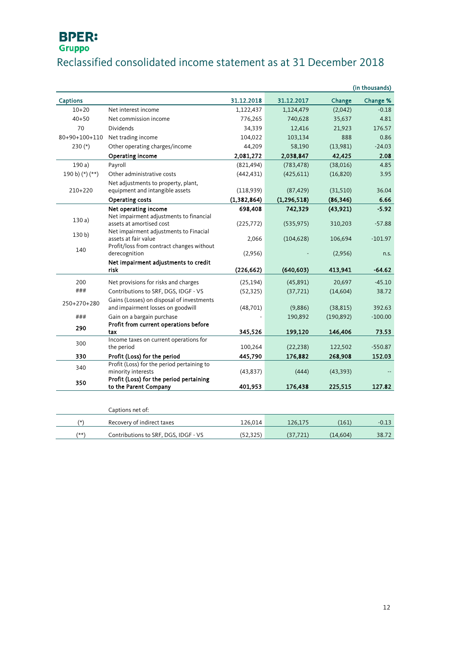## Reclassified consolidated income statement as at 31 December 2018

|                 |                                                                                |               |               |            | (in thousands) |
|-----------------|--------------------------------------------------------------------------------|---------------|---------------|------------|----------------|
| <b>Captions</b> |                                                                                | 31.12.2018    | 31.12.2017    | Change     | Change %       |
| $10 + 20$       | Net interest income                                                            | 1,122,437     | 1,124,479     | (2,042)    | $-0.18$        |
| $40 + 50$       | Net commission income                                                          | 776,265       | 740,628       | 35,637     | 4.81           |
| 70              | <b>Dividends</b>                                                               | 34,339        | 12,416        | 21,923     | 176.57         |
| 80+90+100+110   | Net trading income                                                             | 104,022       | 103,134       | 888        | 0.86           |
| 230 $(*)$       | Other operating charges/income                                                 | 44,209        | 58,190        | (13,981)   | $-24.03$       |
|                 | Operating income                                                               | 2,081,272     | 2,038,847     | 42,425     | 2.08           |
| 190a)           | Payroll                                                                        | (821, 494)    | (783, 478)    | (38,016)   | 4.85           |
| 190 b) (*) (**) | Other administrative costs                                                     | (442, 431)    | (425, 611)    | (16, 820)  | 3.95           |
|                 | Net adjustments to property, plant,                                            |               |               |            |                |
| 210+220         | equipment and intangible assets                                                | (118,939)     | (87, 429)     | (31,510)   | 36.04          |
|                 | <b>Operating costs</b>                                                         | (1, 382, 864) | (1, 296, 518) | (86, 346)  | 6.66           |
|                 | Net operating income                                                           | 698,408       | 742,329       | (43, 921)  | $-5.92$        |
| 130a)           | Net impairment adjustments to financial<br>assets at amortised cost            | (225, 772)    | (535, 975)    | 310,203    | $-57.88$       |
|                 | Net impairment adjustments to Finacial                                         |               |               |            |                |
| 130 b)          | assets at fair value                                                           | 2,066         | (104, 628)    | 106,694    | $-101.97$      |
| 140             | Profit/loss from contract changes without                                      |               |               |            |                |
|                 | derecognition                                                                  | (2,956)       |               | (2,956)    | n.s.           |
|                 | Net impairment adjustments to credit<br>risk                                   | (226, 662)    | (640, 603)    | 413.941    | $-64.62$       |
|                 |                                                                                |               |               |            |                |
| 200             | Net provisions for risks and charges                                           | (25, 194)     | (45, 891)     | 20,697     | $-45.10$       |
| ###             | Contributions to SRF, DGS, IDGF - VS                                           | (52, 325)     | (37, 721)     | (14,604)   | 38.72          |
| 250+270+280     | Gains (Losses) on disposal of investments<br>and impairment losses on goodwill | (48, 701)     | (9,886)       | (38, 815)  | 392.63         |
| ###             | Gain on a bargain purchase                                                     |               | 190,892       | (190, 892) | $-100.00$      |
| 290             | Profit from current operations before                                          |               |               |            |                |
|                 | tax<br>Income taxes on current operations for                                  | 345,526       | 199,120       | 146,406    | 73.53          |
| 300             | the period                                                                     | 100,264       | (22, 238)     | 122,502    | $-550.87$      |
| 330             | Profit (Loss) for the period                                                   | 445,790       | 176,882       | 268,908    | 152.03         |
|                 | Profit (Loss) for the period pertaining to                                     |               |               |            |                |
| 340             | minority interests                                                             | (43, 837)     | (444)         | (43, 393)  |                |
| 350             | Profit (Loss) for the period pertaining                                        |               |               |            |                |
|                 | to the Parent Company                                                          | 401,953       | 176,438       | 225,515    | 127.82         |
|                 |                                                                                |               |               |            |                |
|                 | Captions net of:                                                               |               |               |            |                |
| $(*)$           | Recovery of indirect taxes                                                     | 126,014       | 126,175       | (161)      | $-0.13$        |
| $(**)$          | Contributions to SRF, DGS, IDGF - VS                                           | (52, 325)     | (37, 721)     | (14, 604)  | 38.72          |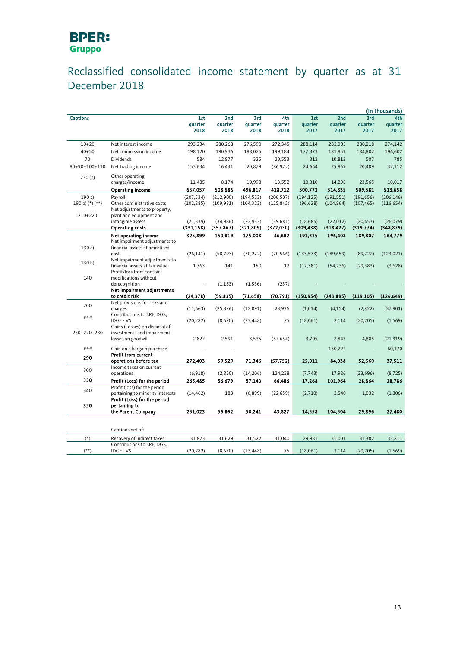### Reclassified consolidated income statement by quarter as at 31 December 2018

|                     |                                                                 |                |                |                |                |                          |                |                | (in thousands) |
|---------------------|-----------------------------------------------------------------|----------------|----------------|----------------|----------------|--------------------------|----------------|----------------|----------------|
| <b>Captions</b>     |                                                                 | 1st<br>quarter | 2nd<br>quarter | 3rd<br>quarter | 4th<br>quarter | 1st<br>quarter           | 2nd<br>quarter | 3rd<br>quarter | 4th<br>quarter |
|                     |                                                                 | 2018           | 2018           | 2018           | 2018           | 2017                     | 2017           | 2017           | 2017           |
|                     |                                                                 |                |                |                |                |                          |                |                |                |
| $10 + 20$           | Net interest income                                             | 293,234        | 280,268        | 276,590        | 272,345        | 288,114                  | 282,005        | 280,218        | 274,142        |
| $40 + 50$           | Net commission income                                           | 198,120        | 190,936        | 188,025        | 199,184        | 177,373                  | 181,851        | 184,802        | 196,602        |
| 70                  | Dividends                                                       | 584            | 12,877         | 325            | 20,553         | 312                      | 10,812         | 507            | 785            |
| 80+90+100+110       | Net trading income                                              | 153,634        | 16,431         | 20,879         | (86, 922)      | 24,664                   | 25,869         | 20,489         | 32,112         |
| $230(*)$            | Other operating                                                 |                |                |                |                |                          |                |                |                |
|                     | charges/income                                                  | 11,485         | 8,174          | 10,998         | 13,552         | 10,310                   | 14,298         | 23,565         | 10,017         |
|                     | Operating income                                                | 657,057        | 508,686        | 496,817        | 418,712        | 500,773                  | 514,835        | 509,581        | 513,658        |
| 190a)               | Payroll                                                         | (207, 534)     | (212,900)      | (194, 553)     | (206, 507)     | (194, 125)               | (191, 551)     | (191, 656)     | (206, 146)     |
| 190 b) $(*)$ $(**)$ | Other administrative costs                                      | (102, 285)     | (109, 981)     | (104, 323)     | (125, 842)     | (96, 628)                | (104, 864)     | (107, 465)     | (116, 654)     |
| 210+220             | Net adjustments to property,<br>plant and equipment and         |                |                |                |                |                          |                |                |                |
|                     | intangible assets                                               | (21, 339)      | (34,986)       | (22, 933)      | (39,681)       | (18, 685)                | (22, 012)      | (20, 653)      | (26,079)       |
|                     | <b>Operating costs</b>                                          | (331, 158)     | (357, 867)     | (321, 809)     | (372,030)      | (309, 438)               | (318, 427)     | (319, 774)     | (348, 879)     |
|                     | Net operating income                                            | 325,899        | 150,819        | 175,008        | 46,682         | 191,335                  | 196,408        | 189,807        | 164,779        |
|                     | Net impairment adjustments to                                   |                |                |                |                |                          |                |                |                |
| 130a)               | financial assets at amortised                                   |                |                |                |                |                          |                |                |                |
|                     | cost                                                            | (26, 141)      | (58, 793)      | (70, 272)      | (70, 566)      | (133, 573)               | (189, 659)     | (89, 722)      | (123, 021)     |
| 130 <sub>b</sub>    | Net impairment adjustments to<br>financial assets at fair value | 1,763          | 141            | 150            | 12             |                          |                |                |                |
|                     | Profit/loss from contract                                       |                |                |                |                | (17, 381)                | (54, 236)      | (29, 383)      | (3,628)        |
| 140                 | modifications without                                           |                |                |                |                |                          |                |                |                |
|                     | derecognition                                                   |                | (1, 183)       | (1, 536)       | (237)          |                          |                |                |                |
|                     | Net impairment adjustments                                      |                |                |                |                |                          |                |                |                |
|                     | to credit risk                                                  | (24, 378)      | (59, 835)      | (71, 658)      | (70, 791)      | (150, 954)               | (243, 895)     | (119, 105)     | (126, 649)     |
| 200                 | Net provisions for risks and<br>charges                         | (11,663)       |                | (12,091)       | 23,936         | (1,014)                  | (4, 154)       | (2,822)        | (37, 901)      |
|                     | Contributions to SRF, DGS,                                      |                | (25, 376)      |                |                |                          |                |                |                |
| ###                 | <b>IDGF - VS</b>                                                | (20, 282)      | (8,670)        | (23, 448)      | 75             | (18,061)                 | 2,114          | (20, 205)      | (1, 569)       |
|                     | Gains (Losses) on disposal of                                   |                |                |                |                |                          |                |                |                |
| 250+270+280         | investments and impairment                                      |                |                |                |                |                          |                |                |                |
|                     | losses on goodwill                                              | 2,827          | 2,591          | 3,535          | (57, 654)      | 3,705                    | 2,843          | 4,885          | (21, 319)      |
| ###                 | Gain on a bargain purchase                                      |                |                |                |                | $\overline{\phantom{a}}$ | 130,722        |                | 60,170         |
| 290                 | <b>Profit from current</b><br>operations before tax             | 272,403        | 59,529         | 71,346         | (57, 752)      | 25,011                   | 84,038         | 52,560         | 37,511         |
|                     | Income taxes on current                                         |                |                |                |                |                          |                |                |                |
| 300                 | operations                                                      | (6,918)        | (2,850)        | (14, 206)      | 124,238        | (7, 743)                 | 17,926         | (23, 696)      | (8, 725)       |
| 330                 | Profit (Loss) for the period                                    | 265,485        | 56,679         | 57,140         | 66,486         | 17,268                   | 101,964        | 28,864         | 28,786         |
| 340                 | Profit (loss) for the period                                    |                |                |                |                |                          |                |                |                |
|                     | pertaining to minority interests                                | (14, 462)      | 183            | (6,899)        | (22, 659)      | (2,710)                  | 2,540          | 1,032          | (1,306)        |
|                     | Profit (Loss) for the period                                    |                |                |                |                |                          |                |                |                |
| 350                 | pertaining to<br>the Parent Company                             | 251,023        | 56,862         | 50,241         | 43,827         | 14,558                   | 104,504        | 29,896         | 27,480         |
|                     |                                                                 |                |                |                |                |                          |                |                |                |
|                     |                                                                 |                |                |                |                |                          |                |                |                |
|                     | Captions net of:                                                |                |                |                |                |                          |                |                |                |
| $(*)$               | Recovery of indirect taxes                                      | 31,823         | 31,629         | 31,522         | 31,040         | 29,981                   | 31,001         | 31,382         | 33,811         |
|                     | Contributions to SRF, DGS,                                      |                |                |                |                |                          |                |                |                |
| $(**)$              | <b>IDGF - VS</b>                                                | (20, 282)      | (8,670)        | (23, 448)      | 75             | (18,061)                 | 2,114          | (20, 205)      | (1, 569)       |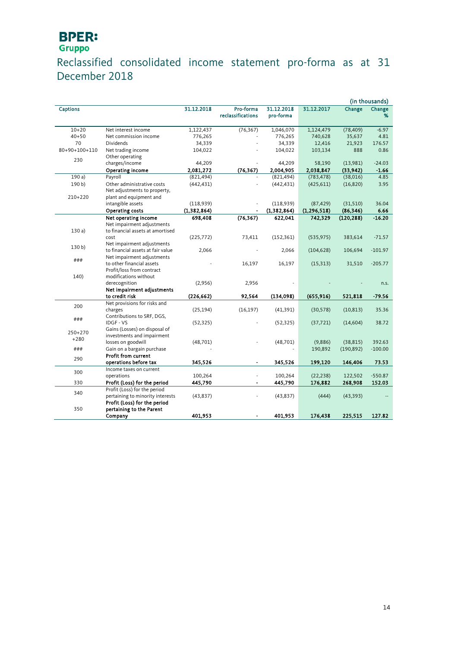### Reclassified consolidated income statement pro-forma as at 31 December 2018

|                 |                                                     |               |                                |                         |               |            | (in thousands) |
|-----------------|-----------------------------------------------------|---------------|--------------------------------|-------------------------|---------------|------------|----------------|
| <b>Captions</b> |                                                     | 31.12.2018    | Pro-forma<br>reclassifications | 31.12.2018<br>pro-forma | 31.12.2017    | Change     | Change<br>%    |
| $10 + 20$       | Net interest income                                 | 1,122,437     | (76, 367)                      | 1,046,070               | 1,124,479     | (78, 409)  | $-6.97$        |
| $40 + 50$       | Net commission income                               | 776,265       |                                | 776,265                 | 740,628       | 35,637     | 4.81           |
| 70              | Dividends                                           | 34,339        |                                | 34,339                  | 12,416        | 21,923     | 176.57         |
| 80+90+100+110   | Net trading income                                  | 104,022       |                                | 104,022                 | 103,134       | 888        | 0.86           |
| 230             | Other operating                                     |               |                                |                         |               |            |                |
|                 | charges/income                                      | 44,209        |                                | 44,209                  | 58,190        | (13,981)   | $-24.03$       |
|                 | Operating income                                    | 2,081,272     | (76, 367)                      | 2,004,905               | 2,038,847     | (33, 942)  | $-1.66$        |
| 190a)           | Payroll                                             | (821, 494)    |                                | (821, 494)              | (783, 478)    | (38,016)   | 4.85           |
| 190 b           | Other administrative costs                          | (442, 431)    |                                | (442, 431)              | (425, 611)    | (16, 820)  | 3.95           |
|                 | Net adjustments to property,                        |               |                                |                         |               |            |                |
| 210+220         | plant and equipment and                             |               |                                |                         |               |            |                |
|                 | intangible assets                                   | (118,939)     |                                | (118,939)               | (87, 429)     | (31,510)   | 36.04          |
|                 | Operating costs                                     | (1, 382, 864) |                                | (1, 382, 864)           | (1, 296, 518) | (86, 346)  | 6.66           |
|                 | Net operating income                                | 698,408       | (76, 367)                      | 622,041                 | 742,329       | (120, 288) | $-16.20$       |
|                 | Net impairment adjustments                          |               |                                |                         |               |            |                |
| 130a            | to financial assets at amortised                    |               |                                |                         |               |            |                |
|                 | cost<br>Net impairment adjustments                  | (225, 772)    | 73,411                         | (152, 361)              | (535, 975)    | 383,614    | $-71.57$       |
| 130 b)          | to financial assets at fair value                   | 2,066         |                                | 2,066                   | (104, 628)    | 106,694    | $-101.97$      |
|                 | Net impairment adjustments                          |               |                                |                         |               |            |                |
| ###             | to other financial assets                           |               | 16,197                         | 16,197                  | (15, 313)     | 31,510     | $-205.77$      |
|                 | Profit/loss from contract                           |               |                                |                         |               |            |                |
| 140)            | modifications without                               |               |                                |                         |               |            |                |
|                 | derecognition                                       | (2,956)       | 2,956                          |                         |               |            | n.s.           |
|                 | Net impairment adjustments                          |               |                                |                         |               |            |                |
|                 | to credit risk                                      | (226, 662)    | 92,564                         | (134, 098)              | (655, 916)    | 521,818    | $-79.56$       |
| 200             | Net provisions for risks and                        |               |                                |                         |               |            |                |
|                 | charges                                             | (25, 194)     | (16, 197)                      | (41, 391)               | (30, 578)     | (10, 813)  | 35.36          |
| ###             | Contributions to SRF, DGS,                          |               |                                |                         |               |            |                |
|                 | <b>IDGF-VS</b>                                      | (52, 325)     |                                | (52, 325)               | (37, 721)     | (14,604)   | 38.72          |
| 250+270         | Gains (Losses) on disposal of                       |               |                                |                         |               |            |                |
| $+280$          | investments and impairment                          |               |                                |                         |               |            |                |
|                 | losses on goodwill                                  | (48, 701)     |                                | (48,701)                | (9,886)       | (38, 815)  | 392.63         |
| ###             | Gain on a bargain purchase                          |               |                                |                         | 190,892       | (190, 892) | $-100.00$      |
| 290             | <b>Profit from current</b><br>operations before tax | 345,526       | ٠                              | 345,526                 | 199,120       | 146,406    | 73.53          |
|                 | Income taxes on current                             |               |                                |                         |               |            |                |
| 300             | operations                                          | 100,264       |                                | 100,264                 | (22, 238)     | 122,502    | $-550.87$      |
| 330             | Profit (Loss) for the period                        | 445,790       |                                | 445,790                 | 176,882       | 268,908    | 152.03         |
|                 | Profit (Loss) for the period                        |               |                                |                         |               |            |                |
| 340             | pertaining to minority interests                    | (43, 837)     |                                | (43, 837)               | (444)         | (43, 393)  |                |
|                 | Profit (Loss) for the period                        |               |                                |                         |               |            |                |
| 350             | pertaining to the Parent                            |               |                                |                         |               |            |                |
|                 | Company                                             | 401,953       |                                | 401,953                 | 176,438       | 225,515    | 127.82         |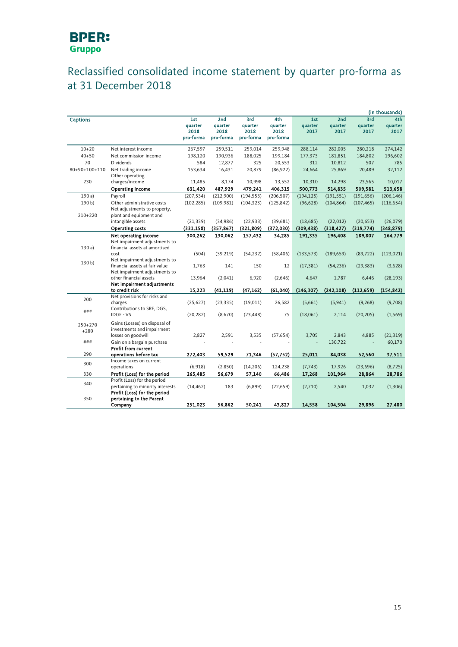### Reclassified consolidated income statement by quarter pro-forma as at 31 December 2018

|                       |                                                                                                  |                                     |                                     |                                     |                                     |                        |                        |                        | (in thousands)         |
|-----------------------|--------------------------------------------------------------------------------------------------|-------------------------------------|-------------------------------------|-------------------------------------|-------------------------------------|------------------------|------------------------|------------------------|------------------------|
| <b>Captions</b>       |                                                                                                  | 1st<br>quarter<br>2018<br>pro-forma | 2nd<br>quarter<br>2018<br>pro-forma | 3rd<br>quarter<br>2018<br>pro-forma | 4th<br>quarter<br>2018<br>pro-forma | 1st<br>quarter<br>2017 | 2nd<br>quarter<br>2017 | 3rd<br>quarter<br>2017 | 4th<br>quarter<br>2017 |
| $10 + 20$             | Net interest income                                                                              | 267,597                             | 259,511                             | 259,014                             | 259,948                             | 288,114                | 282,005                | 280,218                | 274,142                |
| $40 + 50$             | Net commission income                                                                            | 198,120                             | 190,936                             | 188,025                             | 199,184                             | 177,373                | 181,851                | 184,802                | 196,602                |
| 70                    | <b>Dividends</b>                                                                                 | 584                                 | 12,877                              | 325                                 | 20,553                              | 312                    | 10,812                 | 507                    | 785                    |
| 80+90+100+110         | Net trading income                                                                               | 153,634                             | 16,431                              | 20,879                              | (86, 922)                           | 24,664                 | 25,869                 | 20,489                 | 32,112                 |
|                       | Other operating                                                                                  |                                     |                                     |                                     |                                     |                        |                        |                        |                        |
| 230                   | charges/income                                                                                   | 11,485                              | 8,174                               | 10,998                              | 13,552                              | 10,310                 | 14,298                 | 23,565                 | 10,017                 |
|                       | Operating income                                                                                 | 631,420                             | 487,929                             | 479,241                             | 406,315                             | 500,773                | 514,835                | 509,581                | 513,658                |
| 190a)                 | Payroll                                                                                          | (207, 534)                          | (212,900)                           | (194, 553)                          | (206, 507)                          | (194, 125)             | (191, 551)             | (191, 656)             | (206, 146)             |
| 190 b)                | Other administrative costs                                                                       | (102, 285)                          | (109, 981)                          | (104, 323)                          | (125, 842)                          | (96, 628)              | (104, 864)             | (107, 465)             | (116, 654)             |
| 210+220               | Net adjustments to property,<br>plant and equipment and                                          |                                     |                                     |                                     |                                     |                        |                        |                        |                        |
|                       | intangible assets                                                                                | (21, 339)                           | (34,986)                            | (22, 933)                           | (39,681)                            | (18, 685)              | (22, 012)              | (20, 653)              | (26,079)               |
|                       | Operating costs                                                                                  | (331, 158)                          | (357, 867)                          | (321, 809)                          | (372,030)                           | (309, 438)             | (318, 427)             | (319,774)              | (348, 879)             |
|                       | Net operating income<br>Net impairment adjustments to                                            | 300,262                             | 130,062                             | 157,432                             | 34,285                              | 191,335                | 196,408                | 189,807                | 164,779                |
| 130a                  | financial assets at amortised                                                                    |                                     |                                     |                                     |                                     |                        |                        |                        |                        |
|                       | cost                                                                                             | (504)                               | (39, 219)                           | (54, 232)                           | (58, 406)                           | (133, 573)             | (189, 659)             | (89, 722)              | (123, 021)             |
| 130 <sub>b</sub>      | Net impairment adjustments to<br>financial assets at fair value                                  | 1,763                               | 141                                 | 150                                 | 12                                  | (17, 381)              | (54, 236)              | (29, 383)              | (3,628)                |
|                       | Net impairment adjustments to                                                                    |                                     |                                     |                                     |                                     |                        |                        |                        |                        |
|                       | other financial assets                                                                           | 13,964                              | (2,041)                             | 6,920                               | (2,646)                             | 4,647                  | 1,787                  | 6,446                  | (28, 193)              |
|                       | Net impairment adjustments                                                                       |                                     |                                     |                                     |                                     |                        |                        |                        |                        |
|                       | to credit risk                                                                                   | 15,223                              | (41, 119)                           | (47, 162)                           | (61,040)                            | (146, 307)             | (242, 108)             | (112, 659)             | (154, 842)             |
| 200                   | Net provisions for risks and<br>charges                                                          | (25,627)                            | (23, 335)                           | (19,011)                            | 26,582                              | (5,661)                | (5,941)                | (9, 268)               | (9,708)                |
| ###                   | Contributions to SRF, DGS,<br><b>IDGF - VS</b>                                                   | (20, 282)                           | (8,670)                             | (23, 448)                           | 75                                  | (18,061)               | 2,114                  | (20, 205)              | (1, 569)               |
| $250 + 270$<br>$+280$ | Gains (Losses) on disposal of<br>investments and impairment<br>losses on goodwill                | 2,827                               | 2,591                               | 3,535                               | (57, 654)                           | 3,705                  | 2,843                  | 4,885                  | (21, 319)              |
| ###                   | Gain on a bargain purchase<br><b>Profit from current</b>                                         |                                     |                                     |                                     |                                     | ÷,                     | 130,722                |                        | 60,170                 |
| 290                   | operations before tax                                                                            | 272,403                             | 59,529                              | 71,346                              | (57, 752)                           | 25,011                 | 84,038                 | 52,560                 | 37,511                 |
| 300                   | Income taxes on current<br>operations                                                            | (6,918)                             | (2,850)                             | (14, 206)                           | 124,238                             | (7, 743)               | 17,926                 | (23, 696)              | (8, 725)               |
| 330                   | Profit (Loss) for the period                                                                     | 265,485                             | 56,679                              | 57,140                              | 66,486                              | 17,268                 | 101,964                | 28,864                 | 28,786                 |
| 340                   | Profit (Loss) for the period<br>pertaining to minority interests<br>Profit (Loss) for the period | (14, 462)                           | 183                                 | (6,899)                             | (22, 659)                           | (2,710)                | 2,540                  | 1,032                  | (1,306)                |
| 350                   | pertaining to the Parent<br>Company                                                              | 251,023                             | 56,862                              | 50,241                              | 43,827                              | 14,558                 | 104,504                | 29,896                 | 27,480                 |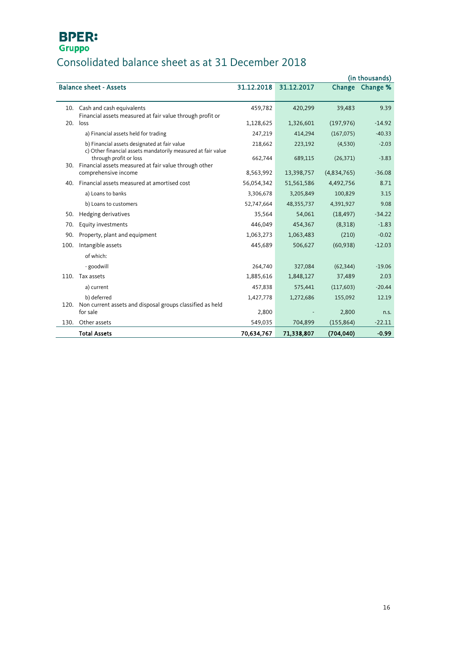## Consolidated balance sheet as at 31 December 2018

| (in thousands) |                                                                                                              |            |            |             |          |
|----------------|--------------------------------------------------------------------------------------------------------------|------------|------------|-------------|----------|
|                | <b>Balance sheet - Assets</b>                                                                                | 31.12.2018 | 31.12.2017 | Change      | Change % |
|                |                                                                                                              |            |            |             |          |
|                | 10. Cash and cash equivalents<br>Financial assets measured at fair value through profit or                   | 459,782    | 420,299    | 39,483      | 9.39     |
|                | $20.$ loss                                                                                                   | 1,128,625  | 1,326,601  | (197, 976)  | $-14.92$ |
|                | a) Financial assets held for trading                                                                         | 247,219    | 414,294    | (167, 075)  | $-40.33$ |
|                | b) Financial assets designated at fair value<br>c) Other financial assets mandatorily measured at fair value | 218,662    | 223,192    | (4,530)     | $-2.03$  |
|                | through profit or loss<br>30. Financial assets measured at fair value through other                          | 662,744    | 689,115    | (26, 371)   | $-3.83$  |
|                | comprehensive income                                                                                         | 8,563,992  | 13,398,757 | (4,834,765) | $-36.08$ |
|                | 40. Financial assets measured at amortised cost                                                              | 56,054,342 | 51,561,586 | 4,492,756   | 8.71     |
|                | a) Loans to banks                                                                                            | 3,306,678  | 3,205,849  | 100,829     | 3.15     |
|                | b) Loans to customers                                                                                        | 52,747,664 | 48,355,737 | 4,391,927   | 9.08     |
| 50.            | Hedging derivatives                                                                                          | 35,564     | 54,061     | (18, 497)   | $-34.22$ |
| 70.            | Equity investments                                                                                           | 446,049    | 454,367    | (8,318)     | $-1.83$  |
| 90.            | Property, plant and equipment                                                                                | 1,063,273  | 1,063,483  | (210)       | $-0.02$  |
| 100.           | Intangible assets                                                                                            | 445,689    | 506,627    | (60, 938)   | $-12.03$ |
|                | of which:                                                                                                    |            |            |             |          |
|                | - goodwill                                                                                                   | 264,740    | 327,084    | (62, 344)   | $-19.06$ |
|                | 110. Tax assets                                                                                              | 1,885,616  | 1,848,127  | 37,489      | 2.03     |
|                | a) current                                                                                                   | 457,838    | 575,441    | (117, 603)  | $-20.44$ |
|                | b) deferred                                                                                                  | 1,427,778  | 1,272,686  | 155,092     | 12.19    |
|                | 120. Non current assets and disposal groups classified as held<br>for sale                                   | 2,800      |            | 2,800       |          |
|                |                                                                                                              |            |            |             | n.s.     |
| 130.           | Other assets                                                                                                 | 549,035    | 704,899    | (155, 864)  | $-22.11$ |
|                | <b>Total Assets</b>                                                                                          | 70,634,767 | 71,338,807 | (704, 040)  | $-0.99$  |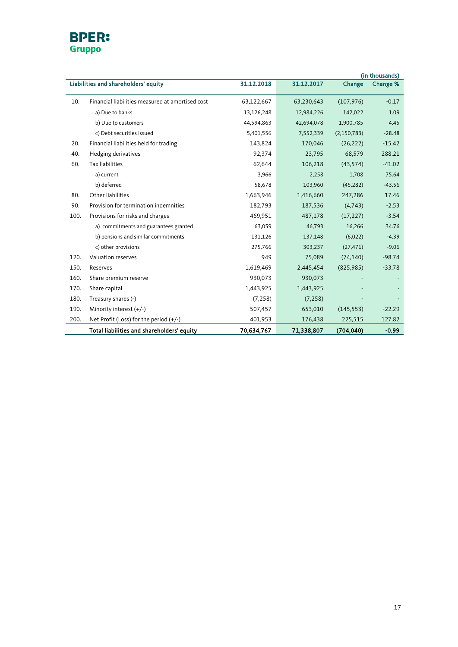

| (in thousands) |                                                  |            |            |               |          |
|----------------|--------------------------------------------------|------------|------------|---------------|----------|
|                | Liabilities and shareholders' equity             | 31.12.2018 | 31.12.2017 | Change        | Change % |
| 10.            | Financial liabilities measured at amortised cost | 63,122,667 | 63,230,643 | (107, 976)    | $-0.17$  |
|                | a) Due to banks                                  | 13,126,248 | 12,984,226 | 142,022       | 1.09     |
|                | b) Due to customers                              | 44,594,863 | 42,694,078 | 1,900,785     | 4.45     |
|                | c) Debt securities issued                        | 5,401,556  | 7,552,339  | (2, 150, 783) | $-28.48$ |
| 20.            | Financial liabilities held for trading           | 143,824    | 170,046    | (26, 222)     | $-15.42$ |
| 40.            | Hedging derivatives                              | 92,374     | 23,795     | 68,579        | 288.21   |
| 60.            | <b>Tax liabilities</b>                           | 62,644     | 106,218    | (43, 574)     | $-41.02$ |
|                | a) current                                       | 3,966      | 2,258      | 1,708         | 75.64    |
|                | b) deferred                                      | 58,678     | 103,960    | (45, 282)     | $-43.56$ |
| 80.            | Other liabilities                                | 1,663,946  | 1,416,660  | 247,286       | 17.46    |
| 90.            | Provision for termination indemnities            | 182,793    | 187,536    | (4,743)       | $-2.53$  |
| 100.           | Provisions for risks and charges                 | 469,951    | 487,178    | (17, 227)     | $-3.54$  |
|                | a) commitments and guarantees granted            | 63,059     | 46,793     | 16,266        | 34.76    |
|                | b) pensions and similar commitments              | 131,126    | 137,148    | (6,022)       | $-4.39$  |
|                | c) other provisions                              | 275,766    | 303,237    | (27, 471)     | $-9.06$  |
| 120.           | Valuation reserves                               | 949        | 75,089     | (74, 140)     | $-98.74$ |
| 150.           | Reserves                                         | 1,619,469  | 2,445,454  | (825, 985)    | $-33.78$ |
| 160.           | Share premium reserve                            | 930,073    | 930,073    |               |          |
| 170.           | Share capital                                    | 1,443,925  | 1,443,925  |               |          |
| 180.           | Treasury shares (-)                              | (7, 258)   | (7, 258)   |               |          |
| 190.           | Minority interest $(+/-)$                        | 507,457    | 653,010    | (145, 553)    | $-22.29$ |
| 200.           | Net Profit (Loss) for the period (+/-)           | 401,953    | 176,438    | 225,515       | 127.82   |
|                | Total liabilities and shareholders' equity       | 70,634,767 | 71,338,807 | (704.040)     | $-0.99$  |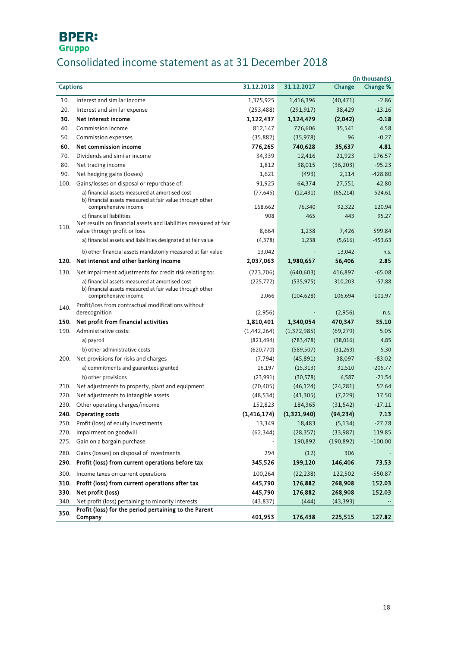## Consolidated income statement as at 31 December 2018

|                 |                                                                                                                                    |                     |                          |                    | (in thousands)        |
|-----------------|------------------------------------------------------------------------------------------------------------------------------------|---------------------|--------------------------|--------------------|-----------------------|
| <b>Captions</b> |                                                                                                                                    | 31.12.2018          | 31.12.2017               | Change             | Change %              |
| 10.             | Interest and similar income                                                                                                        | 1,375,925           | 1,416,396                | (40, 471)          | $-2.86$               |
| 20.             | Interest and similar expense                                                                                                       | (253, 488)          | (291, 917)               | 38,429             | $-13.16$              |
| 30.             | Net interest income                                                                                                                | 1,122,437           | 1,124,479                | (2,042)            | $-0.18$               |
| 40.             | Commission income                                                                                                                  | 812,147             | 776,606                  | 35.541             | 4.58                  |
| 50.             | Commission expenses                                                                                                                | (35, 882)           | (35, 978)                | 96                 | $-0.27$               |
| 60.             | Net commission income                                                                                                              | 776,265             | 740,628                  | 35,637             | 4.81                  |
| 70.             | Dividends and similar income                                                                                                       | 34,339              | 12,416                   | 21,923             | 176.57                |
| 80.             | Net trading income                                                                                                                 | 1,812               | 38,015                   | (36, 203)          | $-95.23$              |
| 90.             | Net hedging gains (losses)                                                                                                         | 1,621               | (493)                    | 2,114              | $-428.80$             |
| 100.            | Gains/losses on disposal or repurchase of:                                                                                         | 91,925              | 64,374                   | 27,551             | 42.80                 |
|                 | a) financial assets measured at amortised cost<br>b) financial assets measured at fair value through other                         | (77, 645)           | (12, 431)                | (65, 214)          | 524.61                |
|                 | comprehensive income                                                                                                               | 168,662             | 76,340                   | 92,322             | 120.94                |
|                 | c) financial liabilities<br>Net results on financial assets and liabilities measured at fair                                       | 908                 | 465                      | 443                | 95.27                 |
| 110.            | value through profit or loss                                                                                                       | 8,664               | 1,238                    | 7,426              | 599.84                |
|                 | a) financial assets and liabilities designated at fair value                                                                       | (4,378)             | 1,238                    | (5,616)            | $-453.63$             |
|                 | b) other financial assets mandatorily measured at fair value                                                                       | 13,042              |                          | 13,042             | n.s.                  |
|                 | 120. Net interest and other banking income                                                                                         | 2,037,063           | 1,980,657                | 56,406             | 2.85                  |
|                 |                                                                                                                                    |                     |                          |                    |                       |
| 130.            | Net impairment adjustments for credit risk relating to:                                                                            | (223,706)           | (640, 603)               | 416,897            | $-65.08$              |
|                 | a) financial assets measured at amortised cost<br>b) financial assets measured at fair value through other<br>comprehensive income | (225, 772)<br>2,066 | (535, 975)<br>(104, 628) | 310,203<br>106,694 | $-57.88$<br>$-101.97$ |
| 140.            | Profit/loss from contractual modifications without<br>derecognition                                                                | (2,956)             |                          | (2,956)            | n.s.                  |
| 150.            | Net profit from financial activities                                                                                               | 1,810,401           | 1,340,054                | 470,347            | 35.10                 |
| 190.            | Administrative costs:                                                                                                              | (1,442,264)         | (1,372,985)              | (69, 279)          | 5.05                  |
|                 | a) payroll                                                                                                                         | (821, 494)          | (783, 478)               | (38,016)           | 4.85                  |
|                 | b) other administrative costs                                                                                                      | (620, 770)          | (589, 507)               | (31, 263)          | 5.30                  |
|                 | 200. Net provisions for risks and charges                                                                                          | (7, 794)            | (45,891)                 | 38,097             | $-83.02$              |
|                 | a) commitments and guarantees granted                                                                                              | 16,197              | (15, 313)                | 31,510             | $-205.77$             |
|                 | b) other provisions                                                                                                                | (23,991)            | (30, 578)                | 6,587              | $-21.54$              |
| 210.            | Net adjustments to property, plant and equipment                                                                                   | (70, 405)           | (46, 124)                | (24, 281)          | 52.64                 |
| 220.            | Net adjustments to intangible assets                                                                                               | (48, 534)           | (41, 305)                | (7, 229)           | 17.50                 |
| 230.            | Other operating charges/income                                                                                                     | 152,823             | 184,365                  | (31, 542)          | $-17.11$              |
|                 | 240. Operating costs                                                                                                               | (1, 416, 174)       | (1,321,940)              | (94, 234)          | 7.13                  |
|                 | 250. Profit (loss) of equity investments                                                                                           | 13,349              | 18,483                   | (5, 134)           | $-27.78$              |
| 270.            | Impairment on goodwill                                                                                                             | (62, 344)           | (28, 357)                | (33,987)           | 119.85                |
| 275.            | Gain on a bargain purchase                                                                                                         |                     | 190,892                  | (190, 892)         | $-100.00$             |
| 280.            | Gains (losses) on disposal of investments                                                                                          | 294                 | (12)                     | 306                |                       |
| 290.            | Profit (loss) from current operations before tax                                                                                   | 345,526             | 199,120                  | 146,406            | 73.53                 |
| 300.            | Income taxes on current operations                                                                                                 | 100,264             | (22, 238)                | 122,502            | $-550.87$             |
| 310.            | Profit (loss) from current operations after tax                                                                                    | 445,790             | 176,882                  | 268,908            | 152.03                |
| 330.            | Net profit (loss)                                                                                                                  | 445,790             | 176,882                  | 268,908            | 152.03                |
| 340.            | Net profit (loss) pertaining to minority interests                                                                                 | (43, 837)           | (444)                    | (43, 393)          |                       |
| 350.            | Profit (loss) for the period pertaining to the Parent<br>Company                                                                   | 401,953             | 176,438                  | 225,515            | 127.82                |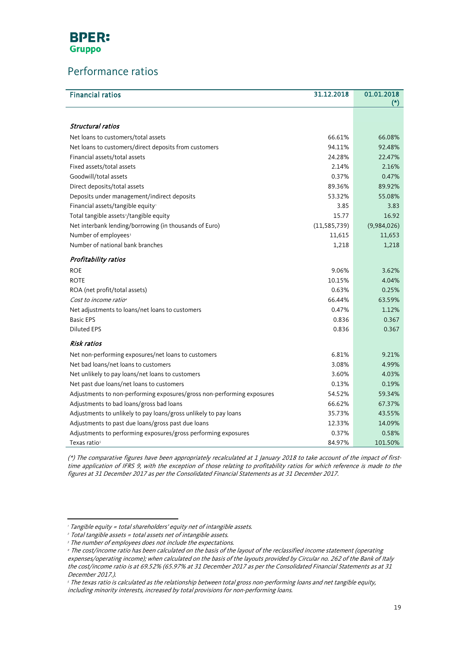

l.

### Performance ratios

| <b>Financial ratios</b>                                                | 31.12.2018     | 01.01.2018  |
|------------------------------------------------------------------------|----------------|-------------|
|                                                                        |                |             |
| Structural ratios                                                      |                |             |
| Net loans to customers/total assets                                    | 66.61%         | 66.08%      |
| Net loans to customers/direct deposits from customers                  | 94.11%         | 92.48%      |
| Financial assets/total assets                                          | 24.28%         | 22.47%      |
| Fixed assets/total assets                                              | 2.14%          | 2.16%       |
| Goodwill/total assets                                                  | 0.37%          | 0.47%       |
| Direct deposits/total assets                                           | 89.36%         | 89.92%      |
| Deposits under management/indirect deposits                            | 53.32%         | 55.08%      |
| Financial assets/tangible equity'                                      | 3.85           | 3.83        |
| Total tangible assets <sup>2</sup> /tangible equity                    | 15.77          | 16.92       |
| Net interbank lending/borrowing (in thousands of Euro)                 | (11, 585, 739) | (9,984,026) |
| Number of employees <sup>3</sup>                                       | 11,615         | 11,653      |
| Number of national bank branches                                       | 1,218          | 1,218       |
| Profitability ratios                                                   |                |             |
| <b>ROE</b>                                                             | 9.06%          | 3.62%       |
| <b>ROTE</b>                                                            | 10.15%         | 4.04%       |
| ROA (net profit/total assets)                                          | 0.63%          | 0.25%       |
| Cost to income ratio <sup>4</sup>                                      | 66.44%         | 63.59%      |
| Net adjustments to loans/net loans to customers                        | 0.47%          | 1.12%       |
| <b>Basic EPS</b>                                                       | 0.836          | 0.367       |
| <b>Diluted EPS</b>                                                     | 0.836          | 0.367       |
| <b>Risk ratios</b>                                                     |                |             |
| Net non-performing exposures/net loans to customers                    | 6.81%          | 9.21%       |
| Net bad loans/net loans to customers                                   | 3.08%          | 4.99%       |
| Net unlikely to pay loans/net loans to customers                       | 3.60%          | 4.03%       |
| Net past due loans/net loans to customers                              | 0.13%          | 0.19%       |
| Adjustments to non-performing exposures/gross non-performing exposures | 54.52%         | 59.34%      |
| Adjustments to bad loans/gross bad loans                               | 66.62%         | 67.37%      |
| Adjustments to unlikely to pay loans/gross unlikely to pay loans       | 35.73%         | 43.55%      |
| Adjustments to past due loans/gross past due loans                     | 12.33%         | 14.09%      |
| Adjustments to performing exposures/gross performing exposures         | 0.37%          | 0.58%       |
| Texas ratio <sup>s</sup>                                               | 84.97%         | 101.50%     |

(\*) The comparative figures have been appropriately recalculated at 1 January 2018 to take account of the impact of firsttime application of IFRS 9, with the exception of those relating to profitability ratios for which reference is made to the figures at 31 December 2017 as per the Consolidated Financial Statements as at 31 December 2017.

 $\overline{\phantom{a}}$ <sup>1</sup> Tangible equity = total shareholders' equity net of intangible assets.

<span id="page-18-0"></span><sup>2</sup> Total tangible assets = total assets net of intangible assets.

<span id="page-18-1"></span><sup>&</sup>lt;sup>3</sup> The number of employees does not include the expectations.

<span id="page-18-4"></span><span id="page-18-2"></span><sup>4</sup> The cost/income ratio has been calculated on the basis of the layout of the reclassified income statement (operating

expenses/operating income); when calculated on the basis of the layouts provided by Circular no. 262 of the Bank of Italy the cost/income ratio is at 69.52% (65.97% at 31 December 2017 as per the Consolidated Financial Statements as at 31 December 2017.).

<span id="page-18-3"></span><sup>&</sup>lt;sup>5</sup> The texas ratio is calculated as the relationship between total gross non-performing loans and net tangible equity, including minority interests, increased by total provisions for non-performing loans.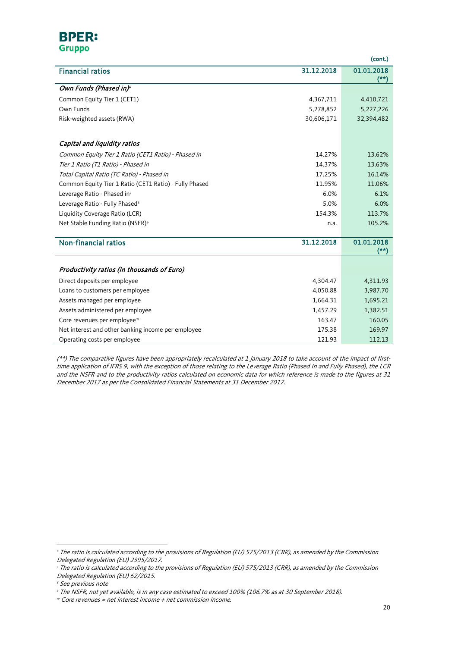#### **BPER: Gruppo**

 $\overline{a}$ 

|                                                        |            | (cont.)                         |
|--------------------------------------------------------|------------|---------------------------------|
| <b>Financial ratios</b>                                | 31.12.2018 | 01.01.2018                      |
|                                                        |            | $(*)$                           |
| Own Funds (Phased in) <sup>6</sup>                     |            |                                 |
| Common Equity Tier 1 (CET1)                            | 4,367,711  | 4,410,721                       |
| Own Funds                                              | 5,278,852  | 5,227,226                       |
| Risk-weighted assets (RWA)                             | 30,606,171 | 32,394,482                      |
|                                                        |            |                                 |
| Capital and liquidity ratios                           |            |                                 |
| Common Equity Tier 1 Ratio (CET1 Ratio) - Phased in    | 14.27%     | 13.62%                          |
| Tier 1 Ratio (T1 Ratio) - Phased in                    | 14.37%     | 13.63%                          |
| Total Capital Ratio (TC Ratio) - Phased in             | 17.25%     | 16.14%                          |
| Common Equity Tier 1 Ratio (CET1 Ratio) - Fully Phased | 11.95%     | 11.06%                          |
| Leverage Ratio - Phased in <sup>7</sup>                | 6.0%       | 6.1%                            |
| Leverage Ratio - Fully Phased <sup>8</sup>             | 5.0%       | 6.0%                            |
| Liquidity Coverage Ratio (LCR)                         | 154.3%     | 113.7%                          |
| Net Stable Funding Ratio (NSFR) <sup>9</sup>           | n.a.       | 105.2%                          |
|                                                        |            |                                 |
| Non-financial ratios                                   | 31.12.2018 | 01.01.2018<br>$^{(\star\star)}$ |
|                                                        |            |                                 |
| Productivity ratios (in thousands of Euro)             |            |                                 |
| Direct deposits per employee                           | 4,304.47   | 4,311.93                        |
| Loans to customers per employee                        | 4,050.88   | 3,987.70                        |
| Assets managed per employee                            | 1,664.31   | 1,695.21                        |
| Assets administered per employee                       | 1,457.29   | 1,382.51                        |
| Core revenues per employee <sup>®</sup>                | 163.47     | 160.05                          |
| Net interest and other banking income per employee     | 175.38     | 169.97                          |
| Operating costs per employee                           | 121.93     | 112.13                          |

(\*\*) The comparative figures have been appropriately recalculated at 1 January 2018 to take account of the impact of firsttime application of IFRS 9, with the exception of those relating to the Leverage Ratio (Phased In and Fully Phased), the LCR and the NSFR and to the productivity ratios calculated on economic data for which reference is made to the figures at 31 December 2017 as per the Consolidated Financial Statements at 31 December 2017.

 $\overline{\phantom{a}}$ 

<sup>6</sup> The ratio is calculated according to the provisions of Regulation (EU) 575/2013 (CRR), as amended by the Commission Delegated Regulation (EU) 2395/2017.

<span id="page-19-0"></span><sup>7</sup> The ratio is calculated according to the provisions of Regulation (EU) 575/2013 (CRR), as amended by the Commission Delegated Regulation (EU) 62/2015.

<span id="page-19-1"></span><sup>&</sup>lt;sup>8</sup> See previous note

<span id="page-19-2"></span><sup>9</sup> The NSFR, not yet available, is in any case estimated to exceed 100% (106.7% as at 30 September 2018).

<span id="page-19-3"></span> $10^{\circ}$  Core revenues = net interest income + net commission income.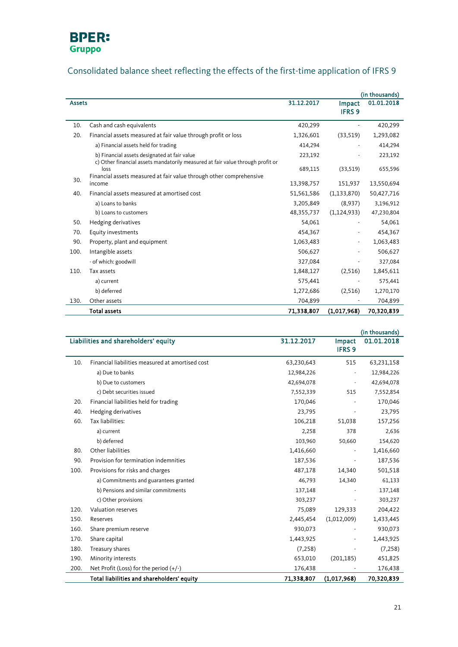

## Consolidated balance sheet reflecting the effects of the first-time application of IFRS 9

|               |                                                                                                                                                               |            |                         | (in thousands) |
|---------------|---------------------------------------------------------------------------------------------------------------------------------------------------------------|------------|-------------------------|----------------|
| <b>Assets</b> |                                                                                                                                                               | 31.12.2017 | Impact<br><b>IFRS 9</b> | 01.01.2018     |
| 10.           | Cash and cash equivalents                                                                                                                                     | 420,299    |                         | 420,299        |
| 20.           | Financial assets measured at fair value through profit or loss                                                                                                | 1,326,601  | (33,519)                | 1,293,082      |
|               | a) Financial assets held for trading                                                                                                                          | 414,294    |                         | 414,294        |
|               | b) Financial assets designated at fair value                                                                                                                  | 223,192    |                         | 223,192        |
|               | c) Other financial assets mandatorily measured at fair value through profit or<br>loss<br>Financial assets measured at fair value through other comprehensive | 689,115    | (33,519)                | 655,596        |
| 30.           | income                                                                                                                                                        | 13,398,757 | 151,937                 | 13,550,694     |
| 40.           | Financial assets measured at amortised cost                                                                                                                   | 51,561,586 | (1, 133, 870)           | 50,427,716     |
|               | a) Loans to banks                                                                                                                                             | 3,205,849  | (8,937)                 | 3,196,912      |
|               | b) Loans to customers                                                                                                                                         | 48,355,737 | (1, 124, 933)           | 47,230,804     |
| 50.           | Hedging derivatives                                                                                                                                           | 54,061     |                         | 54,061         |
| 70.           | Equity investments                                                                                                                                            | 454,367    |                         | 454,367        |
| 90.           | Property, plant and equipment                                                                                                                                 | 1,063,483  |                         | 1,063,483      |
| 100.          | Intangible assets                                                                                                                                             | 506,627    |                         | 506,627        |
|               | - of which: goodwill                                                                                                                                          | 327,084    |                         | 327,084        |
| 110.          | Tax assets                                                                                                                                                    | 1,848,127  | (2,516)                 | 1,845,611      |
|               | a) current                                                                                                                                                    | 575,441    |                         | 575,441        |
|               | b) deferred                                                                                                                                                   | 1,272,686  | (2,516)                 | 1,270,170      |
| 130.          | Other assets                                                                                                                                                  | 704,899    |                         | 704,899        |
|               | <b>Total assets</b>                                                                                                                                           | 71,338,807 | (1,017,968)             | 70,320,839     |

|      |                                                  |            |                         | (in thousands) |
|------|--------------------------------------------------|------------|-------------------------|----------------|
|      | Liabilities and shareholders' equity             | 31.12.2017 | Impact<br><b>IFRS 9</b> | 01.01.2018     |
| 10.  | Financial liabilities measured at amortised cost | 63,230,643 | 515                     | 63,231,158     |
|      | a) Due to banks                                  | 12,984,226 |                         | 12,984,226     |
|      | b) Due to customers                              | 42,694,078 |                         | 42,694,078     |
|      | c) Debt securities issued                        | 7,552,339  | 515                     | 7,552,854      |
| 20.  | Financial liabilities held for trading           | 170,046    |                         | 170,046        |
| 40.  | Hedging derivatives                              | 23,795     |                         | 23,795         |
| 60.  | Tax liabilities:                                 | 106,218    | 51,038                  | 157,256        |
|      | a) current                                       | 2,258      | 378                     | 2,636          |
|      | b) deferred                                      | 103,960    | 50,660                  | 154,620        |
| 80.  | Other liabilities                                | 1,416,660  |                         | 1,416,660      |
| 90.  | Provision for termination indemnities            | 187,536    |                         | 187,536        |
| 100. | Provisions for risks and charges                 | 487,178    | 14,340                  | 501,518        |
|      | a) Commitments and guarantees granted            | 46,793     | 14,340                  | 61,133         |
|      | b) Pensions and similar commitments              | 137,148    |                         | 137,148        |
|      | c) Other provisions                              | 303,237    |                         | 303,237        |
| 120. | Valuation reserves                               | 75,089     | 129,333                 | 204,422        |
| 150. | Reserves                                         | 2,445,454  | (1,012,009)             | 1,433,445      |
| 160. | Share premium reserve                            | 930,073    |                         | 930,073        |
| 170. | Share capital                                    | 1,443,925  |                         | 1,443,925      |
| 180. | Treasury shares                                  | (7, 258)   |                         | (7, 258)       |
| 190. | Minority interests                               | 653,010    | (201, 185)              | 451,825        |
| 200. | Net Profit (Loss) for the period $(+/-)$         | 176,438    |                         | 176,438        |
|      | Total liabilities and shareholders' equity       | 71,338,807 | (1,017,968)             | 70,320,839     |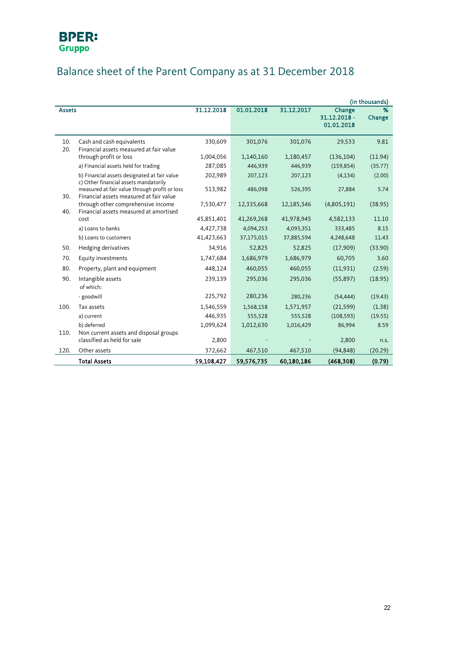## Balance sheet of the Parent Company as at 31 December 2018

|               |                                                                                          |            |            |            |                                      | (in thousands) |
|---------------|------------------------------------------------------------------------------------------|------------|------------|------------|--------------------------------------|----------------|
| <b>Assets</b> |                                                                                          | 31.12.2018 | 01.01.2018 | 31.12.2017 | Change<br>31.12.2018 -<br>01.01.2018 | %<br>Change    |
| 10.<br>20.    | Cash and cash equivalents<br>Financial assets measured at fair value                     | 330,609    | 301,076    | 301,076    | 29,533                               | 9.81           |
|               | through profit or loss                                                                   | 1,004,056  | 1,140,160  | 1,180,457  | (136, 104)                           | (11.94)        |
|               | a) Financial assets held for trading                                                     | 287,085    | 446,939    | 446,939    | (159, 854)                           | (35.77)        |
|               | b) Financial assets designated at fair value<br>c) Other financial assets mandatorily    | 202,989    | 207,123    | 207,123    | (4, 134)                             | (2.00)         |
| 30.           | measured at fair value through profit or loss<br>Financial assets measured at fair value | 513,982    | 486,098    | 526,395    | 27,884                               | 5.74           |
| 40.           | through other comprehensive income<br>Financial assets measured at amortised             | 7,530,477  | 12,335,668 | 12,185,346 | (4,805,191)                          | (38.95)        |
|               | cost                                                                                     | 45,851,401 | 41,269,268 | 41,978,945 | 4,582,133                            | 11.10          |
|               | a) Loans to banks                                                                        | 4,427,738  | 4,094,253  | 4,093,351  | 333,485                              | 8.15           |
|               | b) Loans to customers                                                                    | 41,423,663 | 37,175,015 | 37,885,594 | 4,248,648                            | 11.43          |
| 50.           | Hedging derivatives                                                                      | 34,916     | 52,825     | 52,825     | (17,909)                             | (33.90)        |
| 70.           | Equity investments                                                                       | 1,747,684  | 1,686,979  | 1,686,979  | 60,705                               | 3.60           |
| 80.           | Property, plant and equipment                                                            | 448,124    | 460,055    | 460,055    | (11,931)                             | (2.59)         |
| 90.           | Intangible assets<br>of which:                                                           | 239,139    | 295,036    | 295,036    | (55, 897)                            | (18.95)        |
|               | - goodwill                                                                               | 225,792    | 280,236    | 280,236    | (54, 444)                            | (19.43)        |
| 100.          | Tax assets                                                                               | 1,546,559  | 1,568,158  | 1,571,957  | (21, 599)                            | (1.38)         |
|               | a) current                                                                               | 446,935    | 555,528    | 555,528    | (108, 593)                           | (19.55)        |
|               | b) deferred                                                                              | 1,099,624  | 1,012,630  | 1,016,429  | 86,994                               | 8.59           |
| 110.          | Non current assets and disposal groups<br>classified as held for sale                    | 2,800      |            |            | 2,800                                | n.s.           |
| 120.          | Other assets                                                                             | 372,662    | 467,510    | 467,510    | (94, 848)                            | (20.29)        |
|               | <b>Total Assets</b>                                                                      | 59,108,427 | 59,576,735 | 60,180,186 | (468, 308)                           | (0.79)         |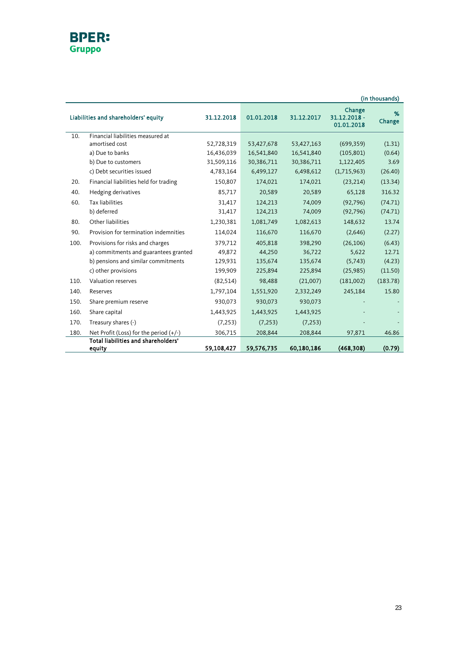### **BPER:** Gruppo

|                                      |                                          |            |            |            |                                      | (in thousands) |
|--------------------------------------|------------------------------------------|------------|------------|------------|--------------------------------------|----------------|
| Liabilities and shareholders' equity |                                          | 31.12.2018 | 01.01.2018 | 31.12.2017 | Change<br>31.12.2018 -<br>01.01.2018 | %<br>Change    |
| 10.                                  | Financial liabilities measured at        |            |            |            |                                      |                |
|                                      | amortised cost                           | 52,728,319 | 53,427,678 | 53,427,163 | (699, 359)                           | (1.31)         |
|                                      | a) Due to banks                          | 16,436,039 | 16,541,840 | 16,541,840 | (105, 801)                           | (0.64)         |
|                                      | b) Due to customers                      | 31,509,116 | 30,386,711 | 30,386,711 | 1,122,405                            | 3.69           |
|                                      | c) Debt securities issued                | 4,783,164  | 6,499,127  | 6,498,612  | (1,715,963)                          | (26.40)        |
| 20.                                  | Financial liabilities held for trading   | 150,807    | 174,021    | 174,021    | (23, 214)                            | (13.34)        |
| 40.                                  | Hedging derivatives                      | 85,717     | 20,589     | 20,589     | 65,128                               | 316.32         |
| 60.                                  | <b>Tax liabilities</b>                   | 31,417     | 124,213    | 74,009     | (92,796)                             | (74.71)        |
|                                      | b) deferred                              | 31,417     | 124,213    | 74,009     | (92, 796)                            | (74.71)        |
| 80.                                  | Other liabilities                        | 1,230,381  | 1,081,749  | 1,082,613  | 148,632                              | 13.74          |
| 90.                                  | Provision for termination indemnities    | 114,024    | 116,670    | 116,670    | (2,646)                              | (2.27)         |
| 100.                                 | Provisions for risks and charges         | 379,712    | 405,818    | 398,290    | (26, 106)                            | (6.43)         |
|                                      | a) commitments and guarantees granted    | 49,872     | 44,250     | 36,722     | 5,622                                | 12.71          |
|                                      | b) pensions and similar commitments      | 129,931    | 135,674    | 135,674    | (5,743)                              | (4.23)         |
|                                      | c) other provisions                      | 199,909    | 225,894    | 225,894    | (25,985)                             | (11.50)        |
| 110.                                 | Valuation reserves                       | (82, 514)  | 98,488     | (21,007)   | (181,002)                            | (183.78)       |
| 140.                                 | Reserves                                 | 1,797,104  | 1,551,920  | 2,332,249  | 245,184                              | 15.80          |
| 150.                                 | Share premium reserve                    | 930,073    | 930,073    | 930,073    |                                      |                |
| 160.                                 | Share capital                            | 1,443,925  | 1,443,925  | 1,443,925  |                                      |                |
| 170.                                 | Treasury shares (-)                      | (7, 253)   | (7, 253)   | (7, 253)   |                                      |                |
| 180.                                 | Net Profit (Loss) for the period $(+/-)$ | 306,715    | 208,844    | 208,844    | 97,871                               | 46.86          |
|                                      | Total liabilities and shareholders'      |            |            |            |                                      |                |
|                                      | equity                                   | 59,108,427 | 59,576,735 | 60,180,186 | (468, 308)                           | (0.79)         |